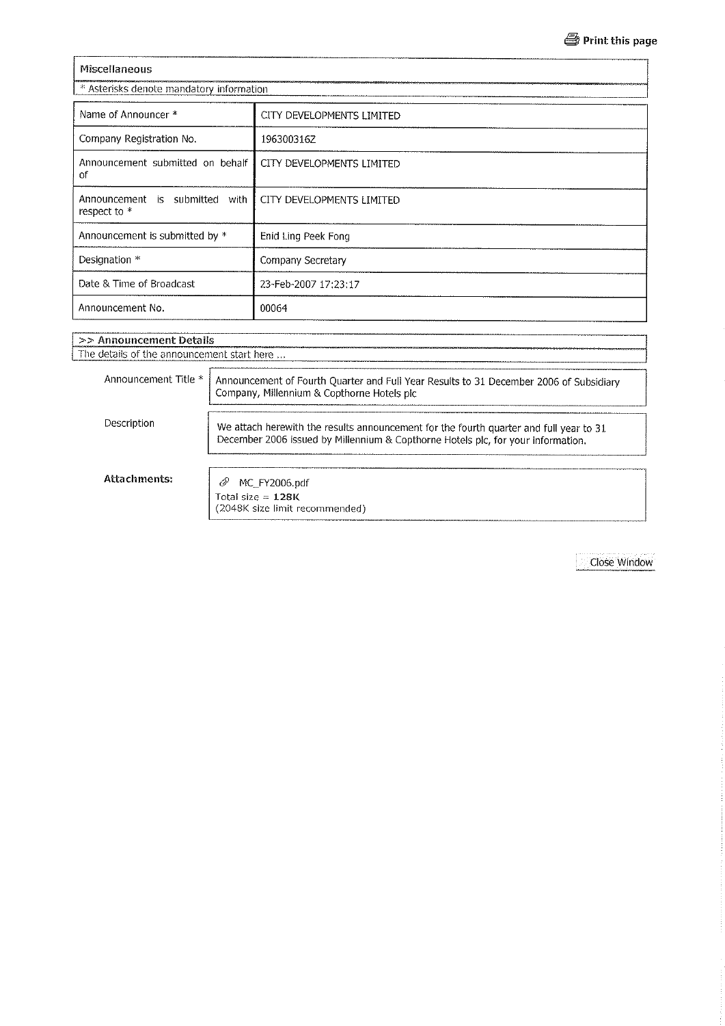| <b>Miscellaneous</b>                           |                           |  |  |  |  |
|------------------------------------------------|---------------------------|--|--|--|--|
| * Asterisks denote mandatory information       |                           |  |  |  |  |
| Name of Announcer *                            | CITY DEVELOPMENTS LIMITED |  |  |  |  |
| Company Registration No.                       | 196300316Z                |  |  |  |  |
| Announcement submitted on behalf<br>οf         | CITY DEVELOPMENTS LIMITED |  |  |  |  |
| Announcement is submitted with<br>respect to * | CITY DEVELOPMENTS LIMITED |  |  |  |  |
| Announcement is submitted by *                 | Enid Ling Peek Fong       |  |  |  |  |
| Designation *                                  | Company Secretary         |  |  |  |  |
| Date & Time of Broadcast                       | 23-Feb-2007 17:23:17      |  |  |  |  |
| Announcement No.                               | 00064                     |  |  |  |  |

# >> Announcement Details The details of the announcement start here ... Announcement Title \* Announcement of Fourth Quarter and Full Year Results to 31 December 2006 of Subsidiary Company, Millennium & Copthorne Hotels pic Description We attach herewith the results announcement for the fourth quarter and full year to 31 December 2006 issued by Millennium & Copthorne Hotels plc, for your information. **Attachments:** @ MC\_FY2006.pdf Total size =  $128K$  (2048K size limit recommended)

Close Window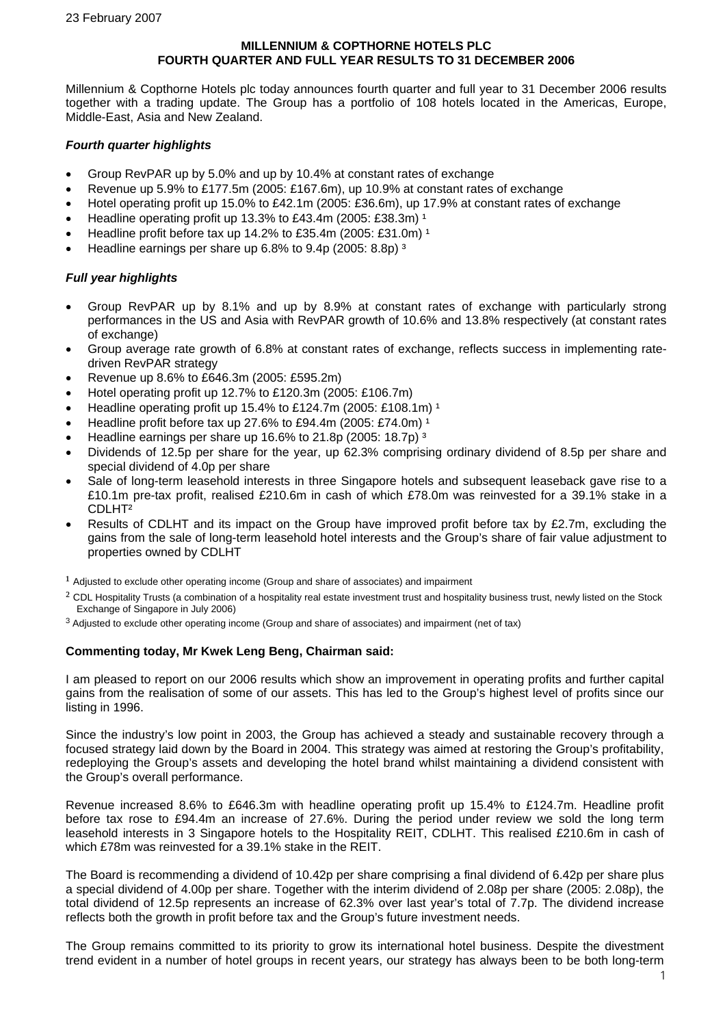#### **MILLENNIUM & COPTHORNE HOTELS PLC FOURTH QUARTER AND FULL YEAR RESULTS TO 31 DECEMBER 2006**

Millennium & Copthorne Hotels plc today announces fourth quarter and full year to 31 December 2006 results together with a trading update. The Group has a portfolio of 108 hotels located in the Americas, Europe, Middle-East, Asia and New Zealand.

#### *Fourth quarter highlights*

- Group RevPAR up by 5.0% and up by 10.4% at constant rates of exchange
- Revenue up 5.9% to £177.5m (2005: £167.6m), up 10.9% at constant rates of exchange
- Hotel operating profit up 15.0% to £42.1m (2005: £36.6m), up 17.9% at constant rates of exchange
- Headline operating profit up 13.3% to £43.4m (2005: £38.3m)  $1$
- Headline profit before tax up 14.2% to £35.4m (2005: £31.0m)<sup>1</sup>
- Headline earnings per share up 6.8% to 9.4p (2005: 8.8p) ³

#### *Full year highlights*

- Group RevPAR up by 8.1% and up by 8.9% at constant rates of exchange with particularly strong performances in the US and Asia with RevPAR growth of 10.6% and 13.8% respectively (at constant rates of exchange)
- Group average rate growth of 6.8% at constant rates of exchange, reflects success in implementing ratedriven RevPAR strategy
- Revenue up 8.6% to £646.3m (2005: £595.2m)
- Hotel operating profit up 12.7% to £120.3m (2005: £106.7m)
- Headline operating profit up 15.4% to £124.7m (2005: £108.1m)<sup>1</sup>
- Headline profit before tax up 27.6% to £94.4m (2005: £74.0m)  $^1$
- Headline earnings per share up 16.6% to 21.8p (2005: 18.7p) ³
- Dividends of 12.5p per share for the year, up 62.3% comprising ordinary dividend of 8.5p per share and special dividend of 4.0p per share
- Sale of long-term leasehold interests in three Singapore hotels and subsequent leaseback gave rise to a £10.1m pre-tax profit, realised £210.6m in cash of which £78.0m was reinvested for a 39.1% stake in a CDLHT²
- Results of CDLHT and its impact on the Group have improved profit before tax by £2.7m, excluding the gains from the sale of long-term leasehold hotel interests and the Group's share of fair value adjustment to properties owned by CDLHT

 $<sup>1</sup>$  Adjusted to exclude other operating income (Group and share of associates) and impairment</sup>

- $2$  CDL Hospitality Trusts (a combination of a hospitality real estate investment trust and hospitality business trust, newly listed on the Stock Exchange of Singapore in July 2006)
- <sup>3</sup> Adjusted to exclude other operating income (Group and share of associates) and impairment (net of tax)

### **Commenting today, Mr Kwek Leng Beng, Chairman said:**

I am pleased to report on our 2006 results which show an improvement in operating profits and further capital gains from the realisation of some of our assets. This has led to the Group's highest level of profits since our listing in 1996.

Since the industry's low point in 2003, the Group has achieved a steady and sustainable recovery through a focused strategy laid down by the Board in 2004. This strategy was aimed at restoring the Group's profitability, redeploying the Group's assets and developing the hotel brand whilst maintaining a dividend consistent with the Group's overall performance.

Revenue increased 8.6% to £646.3m with headline operating profit up 15.4% to £124.7m. Headline profit before tax rose to £94.4m an increase of 27.6%. During the period under review we sold the long term leasehold interests in 3 Singapore hotels to the Hospitality REIT, CDLHT. This realised £210.6m in cash of which £78m was reinvested for a 39.1% stake in the REIT.

The Board is recommending a dividend of 10.42p per share comprising a final dividend of 6.42p per share plus a special dividend of 4.00p per share. Together with the interim dividend of 2.08p per share (2005: 2.08p), the total dividend of 12.5p represents an increase of 62.3% over last year's total of 7.7p. The dividend increase reflects both the growth in profit before tax and the Group's future investment needs.

The Group remains committed to its priority to grow its international hotel business. Despite the divestment trend evident in a number of hotel groups in recent years, our strategy has always been to be both long-term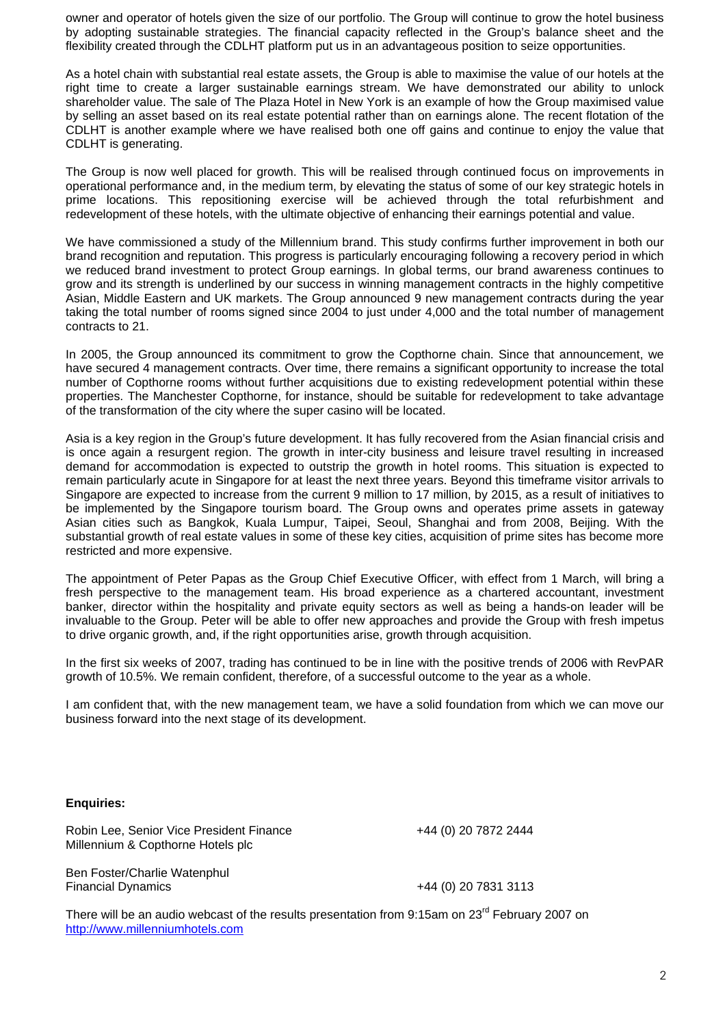owner and operator of hotels given the size of our portfolio. The Group will continue to grow the hotel business by adopting sustainable strategies. The financial capacity reflected in the Group's balance sheet and the flexibility created through the CDLHT platform put us in an advantageous position to seize opportunities.

As a hotel chain with substantial real estate assets, the Group is able to maximise the value of our hotels at the right time to create a larger sustainable earnings stream. We have demonstrated our ability to unlock shareholder value. The sale of The Plaza Hotel in New York is an example of how the Group maximised value by selling an asset based on its real estate potential rather than on earnings alone. The recent flotation of the CDLHT is another example where we have realised both one off gains and continue to enjoy the value that CDLHT is generating.

The Group is now well placed for growth. This will be realised through continued focus on improvements in operational performance and, in the medium term, by elevating the status of some of our key strategic hotels in prime locations. This repositioning exercise will be achieved through the total refurbishment and redevelopment of these hotels, with the ultimate objective of enhancing their earnings potential and value.

We have commissioned a study of the Millennium brand. This study confirms further improvement in both our brand recognition and reputation. This progress is particularly encouraging following a recovery period in which we reduced brand investment to protect Group earnings. In global terms, our brand awareness continues to grow and its strength is underlined by our success in winning management contracts in the highly competitive Asian, Middle Eastern and UK markets. The Group announced 9 new management contracts during the year taking the total number of rooms signed since 2004 to just under 4,000 and the total number of management contracts to 21.

In 2005, the Group announced its commitment to grow the Copthorne chain. Since that announcement, we have secured 4 management contracts. Over time, there remains a significant opportunity to increase the total number of Copthorne rooms without further acquisitions due to existing redevelopment potential within these properties. The Manchester Copthorne, for instance, should be suitable for redevelopment to take advantage of the transformation of the city where the super casino will be located.

Asia is a key region in the Group's future development. It has fully recovered from the Asian financial crisis and is once again a resurgent region. The growth in inter-city business and leisure travel resulting in increased demand for accommodation is expected to outstrip the growth in hotel rooms. This situation is expected to remain particularly acute in Singapore for at least the next three years. Beyond this timeframe visitor arrivals to Singapore are expected to increase from the current 9 million to 17 million, by 2015, as a result of initiatives to be implemented by the Singapore tourism board. The Group owns and operates prime assets in gateway Asian cities such as Bangkok, Kuala Lumpur, Taipei, Seoul, Shanghai and from 2008, Beijing. With the substantial growth of real estate values in some of these key cities, acquisition of prime sites has become more restricted and more expensive.

The appointment of Peter Papas as the Group Chief Executive Officer, with effect from 1 March, will bring a fresh perspective to the management team. His broad experience as a chartered accountant, investment banker, director within the hospitality and private equity sectors as well as being a hands-on leader will be invaluable to the Group. Peter will be able to offer new approaches and provide the Group with fresh impetus to drive organic growth, and, if the right opportunities arise, growth through acquisition.

In the first six weeks of 2007, trading has continued to be in line with the positive trends of 2006 with RevPAR growth of 10.5%. We remain confident, therefore, of a successful outcome to the year as a whole.

I am confident that, with the new management team, we have a solid foundation from which we can move our business forward into the next stage of its development.

#### **Enquiries:**

Robin Lee, Senior Vice President Finance  $+44$  (0) 20 7872 2444 Millennium & Copthorne Hotels plc

Ben Foster/Charlie Watenphul Financial Dynamics +44 (0) 20 7831 3113

There will be an audio webcast of the results presentation from 9:15am on 23<sup>rd</sup> February 2007 on [http://www.millenniumhotels.com](http://www.millenniumhotels.com/)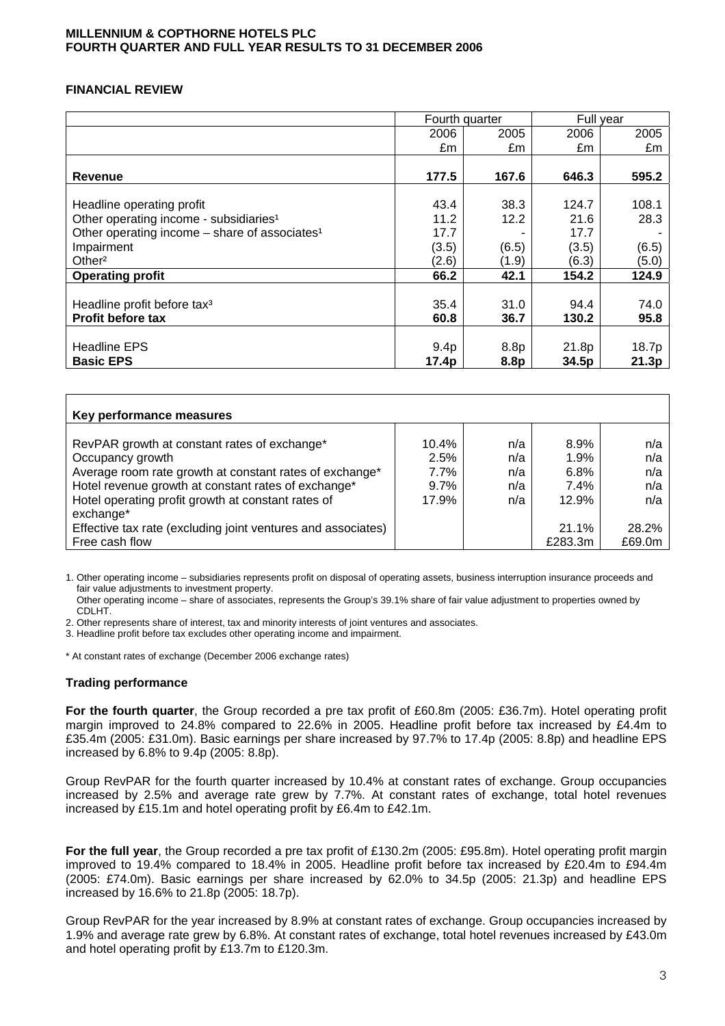#### **MILLENNIUM & COPTHORNE HOTELS PLC FOURTH QUARTER AND FULL YEAR RESULTS TO 31 DECEMBER 2006**

### **FINANCIAL REVIEW**

|                                                           | Fourth quarter   |                  | Full year |       |
|-----------------------------------------------------------|------------------|------------------|-----------|-------|
|                                                           | 2006             | 2005             | 2006      | 2005  |
|                                                           | £m               | £m               | £m        | £m    |
|                                                           |                  |                  |           |       |
| <b>Revenue</b>                                            | 177.5            | 167.6            | 646.3     | 595.2 |
|                                                           |                  |                  |           |       |
| Headline operating profit                                 | 43.4             | 38.3             | 124.7     | 108.1 |
| Other operating income - subsidiaries <sup>1</sup>        | 11.2             | 12.2             | 21.6      | 28.3  |
| Other operating income - share of associates <sup>1</sup> | 17.7             |                  | 17.7      |       |
| Impairment                                                | (3.5)            | (6.5)            | (3.5)     | (6.5) |
| Other <sup>2</sup>                                        | (2.6)            | (1.9)            | (6.3)     | (5.0) |
| <b>Operating profit</b>                                   | 66.2             | 42.1             | 154.2     | 124.9 |
|                                                           |                  |                  |           |       |
| Headline profit before tax <sup>3</sup>                   | 35.4             | 31.0             | 94.4      | 74.0  |
| <b>Profit before tax</b>                                  | 60.8             | 36.7             | 130.2     | 95.8  |
|                                                           |                  |                  |           |       |
| <b>Headline EPS</b>                                       | 9.4 <sub>p</sub> | 8.8p             | 21.8p     | 18.7p |
| <b>Basic EPS</b>                                          | 17.4p            | 8.8 <sub>p</sub> | 34.5p     | 21.3p |

| Key performance measures                                                                                                                                                                                                                                                                                                                |                                              |                                 |                                                              |                                                    |  |  |  |  |  |
|-----------------------------------------------------------------------------------------------------------------------------------------------------------------------------------------------------------------------------------------------------------------------------------------------------------------------------------------|----------------------------------------------|---------------------------------|--------------------------------------------------------------|----------------------------------------------------|--|--|--|--|--|
| RevPAR growth at constant rates of exchange*<br>Occupancy growth<br>Average room rate growth at constant rates of exchange*<br>Hotel revenue growth at constant rates of exchange*<br>Hotel operating profit growth at constant rates of<br>exchange*<br>Effective tax rate (excluding joint ventures and associates)<br>Free cash flow | 10.4%<br>2.5%<br>$7.7\%$<br>$9.7\%$<br>17.9% | n/a<br>n/a<br>n/a<br>n/a<br>n/a | 8.9%<br>1.9%<br>6.8%<br>7.4%<br>12.9%<br>$21.1\%$<br>£283.3m | n/a<br>n/a<br>n/a<br>n/a<br>n/a<br>28.2%<br>£69.0m |  |  |  |  |  |

1. Other operating income – subsidiaries represents profit on disposal of operating assets, business interruption insurance proceeds and fair value adjustments to investment property.

 Other operating income – share of associates, represents the Group's 39.1% share of fair value adjustment to properties owned by CDLHT.

2. Other represents share of interest, tax and minority interests of joint ventures and associates.

3. Headline profit before tax excludes other operating income and impairment.

\* At constant rates of exchange (December 2006 exchange rates)

### **Trading performance**

**For the fourth quarter**, the Group recorded a pre tax profit of £60.8m (2005: £36.7m). Hotel operating profit margin improved to 24.8% compared to 22.6% in 2005. Headline profit before tax increased by £4.4m to £35.4m (2005: £31.0m). Basic earnings per share increased by 97.7% to 17.4p (2005: 8.8p) and headline EPS increased by 6.8% to 9.4p (2005: 8.8p).

Group RevPAR for the fourth quarter increased by 10.4% at constant rates of exchange. Group occupancies increased by 2.5% and average rate grew by 7.7%. At constant rates of exchange, total hotel revenues increased by £15.1m and hotel operating profit by £6.4m to £42.1m.

**For the full year**, the Group recorded a pre tax profit of £130.2m (2005: £95.8m). Hotel operating profit margin improved to 19.4% compared to 18.4% in 2005. Headline profit before tax increased by £20.4m to £94.4m (2005: £74.0m). Basic earnings per share increased by 62.0% to 34.5p (2005: 21.3p) and headline EPS increased by 16.6% to 21.8p (2005: 18.7p).

Group RevPAR for the year increased by 8.9% at constant rates of exchange. Group occupancies increased by 1.9% and average rate grew by 6.8%. At constant rates of exchange, total hotel revenues increased by £43.0m and hotel operating profit by £13.7m to £120.3m.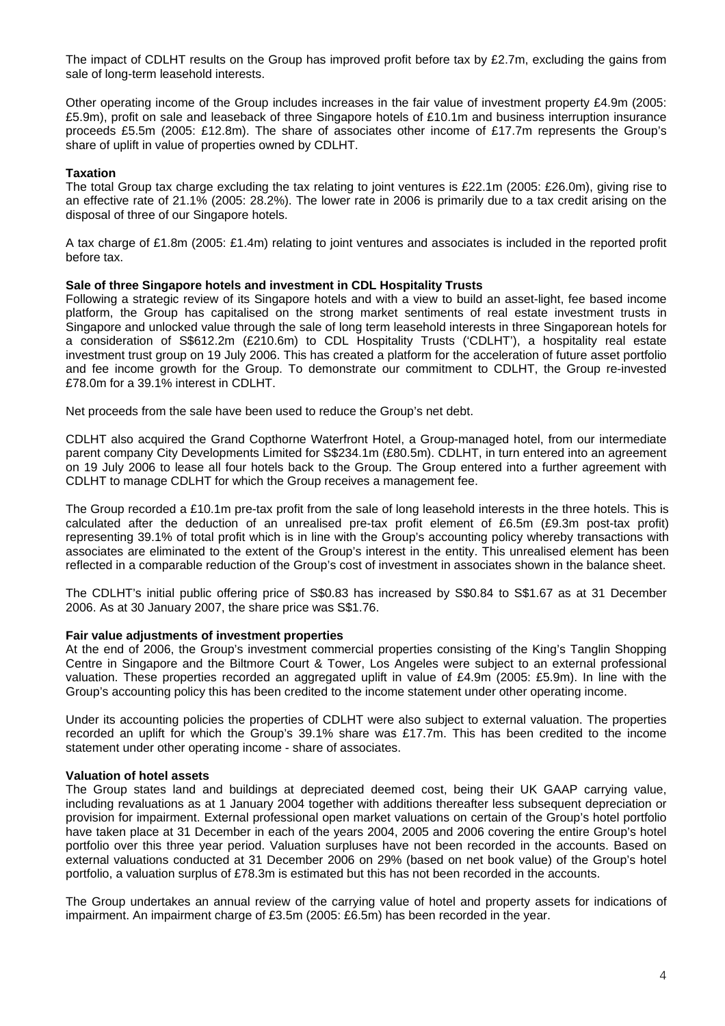The impact of CDLHT results on the Group has improved profit before tax by £2.7m, excluding the gains from sale of long-term leasehold interests.

Other operating income of the Group includes increases in the fair value of investment property £4.9m (2005: £5.9m), profit on sale and leaseback of three Singapore hotels of £10.1m and business interruption insurance proceeds £5.5m (2005: £12.8m). The share of associates other income of £17.7m represents the Group's share of uplift in value of properties owned by CDLHT.

#### **Taxation**

The total Group tax charge excluding the tax relating to joint ventures is £22.1m (2005: £26.0m), giving rise to an effective rate of 21.1% (2005: 28.2%). The lower rate in 2006 is primarily due to a tax credit arising on the disposal of three of our Singapore hotels.

A tax charge of £1.8m (2005: £1.4m) relating to joint ventures and associates is included in the reported profit before tax.

#### **Sale of three Singapore hotels and investment in CDL Hospitality Trusts**

Following a strategic review of its Singapore hotels and with a view to build an asset-light, fee based income platform, the Group has capitalised on the strong market sentiments of real estate investment trusts in Singapore and unlocked value through the sale of long term leasehold interests in three Singaporean hotels for a consideration of S\$612.2m (£210.6m) to CDL Hospitality Trusts ('CDLHT'), a hospitality real estate investment trust group on 19 July 2006. This has created a platform for the acceleration of future asset portfolio and fee income growth for the Group. To demonstrate our commitment to CDLHT, the Group re-invested £78.0m for a 39.1% interest in CDLHT.

Net proceeds from the sale have been used to reduce the Group's net debt.

CDLHT also acquired the Grand Copthorne Waterfront Hotel, a Group-managed hotel, from our intermediate parent company City Developments Limited for S\$234.1m (£80.5m). CDLHT, in turn entered into an agreement on 19 July 2006 to lease all four hotels back to the Group. The Group entered into a further agreement with CDLHT to manage CDLHT for which the Group receives a management fee.

The Group recorded a £10.1m pre-tax profit from the sale of long leasehold interests in the three hotels. This is calculated after the deduction of an unrealised pre-tax profit element of £6.5m (£9.3m post-tax profit) representing 39.1% of total profit which is in line with the Group's accounting policy whereby transactions with associates are eliminated to the extent of the Group's interest in the entity. This unrealised element has been reflected in a comparable reduction of the Group's cost of investment in associates shown in the balance sheet.

The CDLHT's initial public offering price of S\$0.83 has increased by S\$0.84 to S\$1.67 as at 31 December 2006. As at 30 January 2007, the share price was S\$1.76.

#### **Fair value adjustments of investment properties**

At the end of 2006, the Group's investment commercial properties consisting of the King's Tanglin Shopping Centre in Singapore and the Biltmore Court & Tower, Los Angeles were subject to an external professional valuation. These properties recorded an aggregated uplift in value of £4.9m (2005: £5.9m). In line with the Group's accounting policy this has been credited to the income statement under other operating income.

Under its accounting policies the properties of CDLHT were also subject to external valuation. The properties recorded an uplift for which the Group's 39.1% share was £17.7m. This has been credited to the income statement under other operating income - share of associates.

#### **Valuation of hotel assets**

The Group states land and buildings at depreciated deemed cost, being their UK GAAP carrying value, including revaluations as at 1 January 2004 together with additions thereafter less subsequent depreciation or provision for impairment. External professional open market valuations on certain of the Group's hotel portfolio have taken place at 31 December in each of the years 2004, 2005 and 2006 covering the entire Group's hotel portfolio over this three year period. Valuation surpluses have not been recorded in the accounts. Based on external valuations conducted at 31 December 2006 on 29% (based on net book value) of the Group's hotel portfolio, a valuation surplus of £78.3m is estimated but this has not been recorded in the accounts.

The Group undertakes an annual review of the carrying value of hotel and property assets for indications of impairment. An impairment charge of £3.5m (2005: £6.5m) has been recorded in the year.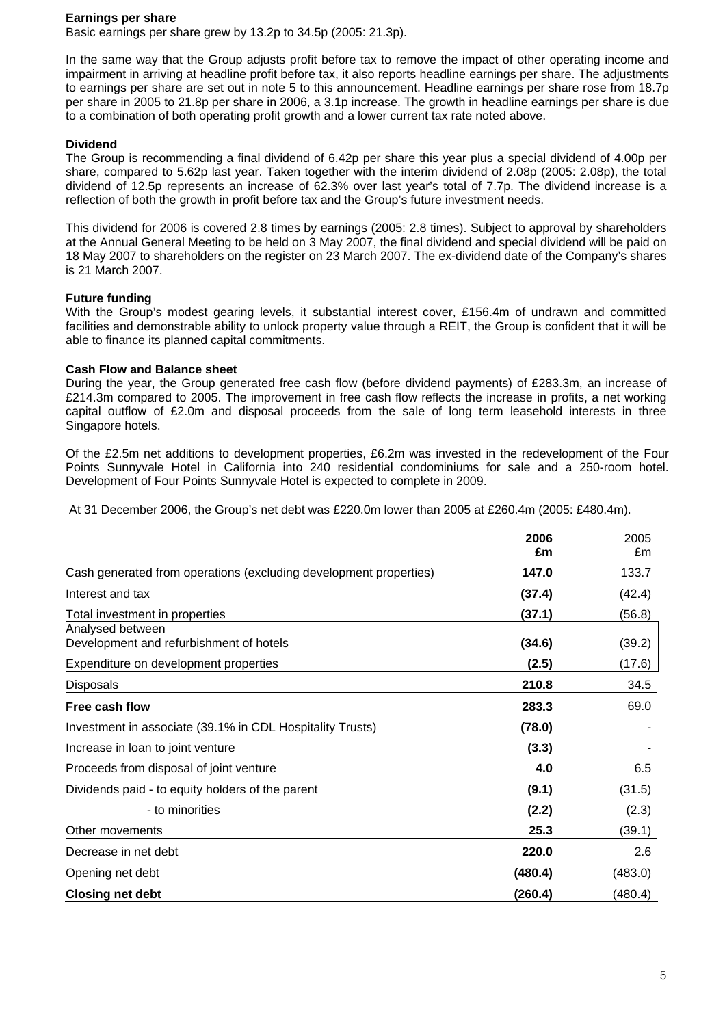#### **Earnings per share**

Basic earnings per share grew by 13.2p to 34.5p (2005: 21.3p).

In the same way that the Group adjusts profit before tax to remove the impact of other operating income and impairment in arriving at headline profit before tax, it also reports headline earnings per share. The adjustments to earnings per share are set out in note 5 to this announcement. Headline earnings per share rose from 18.7p per share in 2005 to 21.8p per share in 2006, a 3.1p increase. The growth in headline earnings per share is due to a combination of both operating profit growth and a lower current tax rate noted above.

### **Dividend**

The Group is recommending a final dividend of 6.42p per share this year plus a special dividend of 4.00p per share, compared to 5.62p last year. Taken together with the interim dividend of 2.08p (2005: 2.08p), the total dividend of 12.5p represents an increase of 62.3% over last year's total of 7.7p. The dividend increase is a reflection of both the growth in profit before tax and the Group's future investment needs.

This dividend for 2006 is covered 2.8 times by earnings (2005: 2.8 times). Subject to approval by shareholders at the Annual General Meeting to be held on 3 May 2007, the final dividend and special dividend will be paid on 18 May 2007 to shareholders on the register on 23 March 2007. The ex-dividend date of the Company's shares is 21 March 2007.

### **Future funding**

With the Group's modest gearing levels, it substantial interest cover, £156.4m of undrawn and committed facilities and demonstrable ability to unlock property value through a REIT, the Group is confident that it will be able to finance its planned capital commitments.

### **Cash Flow and Balance sheet**

During the year, the Group generated free cash flow (before dividend payments) of £283.3m, an increase of £214.3m compared to 2005. The improvement in free cash flow reflects the increase in profits, a net working capital outflow of £2.0m and disposal proceeds from the sale of long term leasehold interests in three Singapore hotels.

Of the £2.5m net additions to development properties, £6.2m was invested in the redevelopment of the Four Points Sunnyvale Hotel in California into 240 residential condominiums for sale and a 250-room hotel. Development of Four Points Sunnyvale Hotel is expected to complete in 2009.

At 31 December 2006, the Group's net debt was £220.0m lower than 2005 at £260.4m (2005: £480.4m).

|                                                                   | 2006<br>£m | 2005<br>£m |
|-------------------------------------------------------------------|------------|------------|
| Cash generated from operations (excluding development properties) | 147.0      | 133.7      |
| Interest and tax                                                  | (37.4)     | (42.4)     |
| Total investment in properties                                    | (37.1)     | (56.8)     |
| Analysed between<br>Development and refurbishment of hotels       | (34.6)     | (39.2)     |
| Expenditure on development properties                             | (2.5)      | (17.6)     |
| <b>Disposals</b>                                                  | 210.8      | 34.5       |
| Free cash flow                                                    | 283.3      | 69.0       |
| Investment in associate (39.1% in CDL Hospitality Trusts)         | (78.0)     |            |
| Increase in loan to joint venture                                 | (3.3)      |            |
| Proceeds from disposal of joint venture                           | 4.0        | 6.5        |
| Dividends paid - to equity holders of the parent                  | (9.1)      | (31.5)     |
| - to minorities                                                   | (2.2)      | (2.3)      |
| Other movements                                                   | 25.3       | (39.1)     |
| Decrease in net debt                                              | 220.0      | 2.6        |
| Opening net debt                                                  | (480.4)    | (483.0)    |
| <b>Closing net debt</b>                                           | (260.4)    | (480.4)    |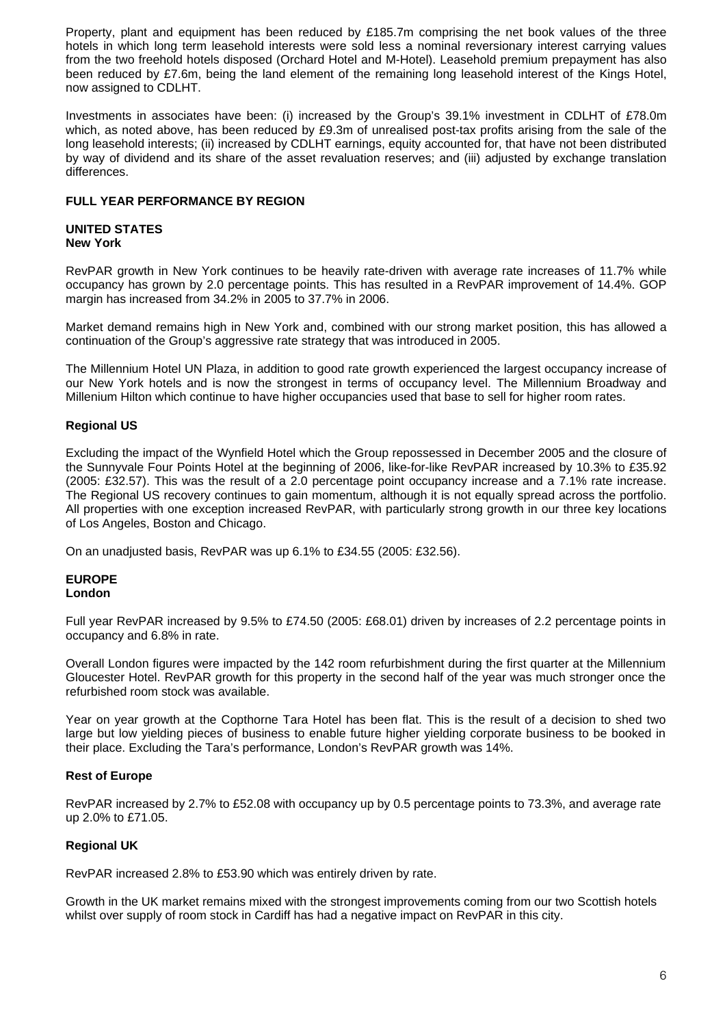Property, plant and equipment has been reduced by £185.7m comprising the net book values of the three hotels in which long term leasehold interests were sold less a nominal reversionary interest carrying values from the two freehold hotels disposed (Orchard Hotel and M-Hotel). Leasehold premium prepayment has also been reduced by £7.6m, being the land element of the remaining long leasehold interest of the Kings Hotel, now assigned to CDLHT.

Investments in associates have been: (i) increased by the Group's 39.1% investment in CDLHT of £78.0m which, as noted above, has been reduced by £9.3m of unrealised post-tax profits arising from the sale of the long leasehold interests; (ii) increased by CDLHT earnings, equity accounted for, that have not been distributed by way of dividend and its share of the asset revaluation reserves; and (iii) adjusted by exchange translation differences.

#### **FULL YEAR PERFORMANCE BY REGION**

#### **UNITED STATES New York**

RevPAR growth in New York continues to be heavily rate-driven with average rate increases of 11.7% while occupancy has grown by 2.0 percentage points. This has resulted in a RevPAR improvement of 14.4%. GOP margin has increased from 34.2% in 2005 to 37.7% in 2006.

Market demand remains high in New York and, combined with our strong market position, this has allowed a continuation of the Group's aggressive rate strategy that was introduced in 2005.

The Millennium Hotel UN Plaza, in addition to good rate growth experienced the largest occupancy increase of our New York hotels and is now the strongest in terms of occupancy level. The Millennium Broadway and Millenium Hilton which continue to have higher occupancies used that base to sell for higher room rates.

## **Regional US**

Excluding the impact of the Wynfield Hotel which the Group repossessed in December 2005 and the closure of the Sunnyvale Four Points Hotel at the beginning of 2006, like-for-like RevPAR increased by 10.3% to £35.92 (2005: £32.57). This was the result of a 2.0 percentage point occupancy increase and a 7.1% rate increase. The Regional US recovery continues to gain momentum, although it is not equally spread across the portfolio. All properties with one exception increased RevPAR, with particularly strong growth in our three key locations of Los Angeles, Boston and Chicago.

On an unadjusted basis, RevPAR was up 6.1% to £34.55 (2005: £32.56).

#### **EUROPE London**

Full year RevPAR increased by 9.5% to £74.50 (2005: £68.01) driven by increases of 2.2 percentage points in occupancy and 6.8% in rate.

Overall London figures were impacted by the 142 room refurbishment during the first quarter at the Millennium Gloucester Hotel. RevPAR growth for this property in the second half of the year was much stronger once the refurbished room stock was available.

Year on year growth at the Copthorne Tara Hotel has been flat. This is the result of a decision to shed two large but low yielding pieces of business to enable future higher yielding corporate business to be booked in their place. Excluding the Tara's performance, London's RevPAR growth was 14%.

### **Rest of Europe**

RevPAR increased by 2.7% to £52.08 with occupancy up by 0.5 percentage points to 73.3%, and average rate up 2.0% to £71.05.

# **Regional UK**

RevPAR increased 2.8% to £53.90 which was entirely driven by rate.

Growth in the UK market remains mixed with the strongest improvements coming from our two Scottish hotels whilst over supply of room stock in Cardiff has had a negative impact on RevPAR in this city.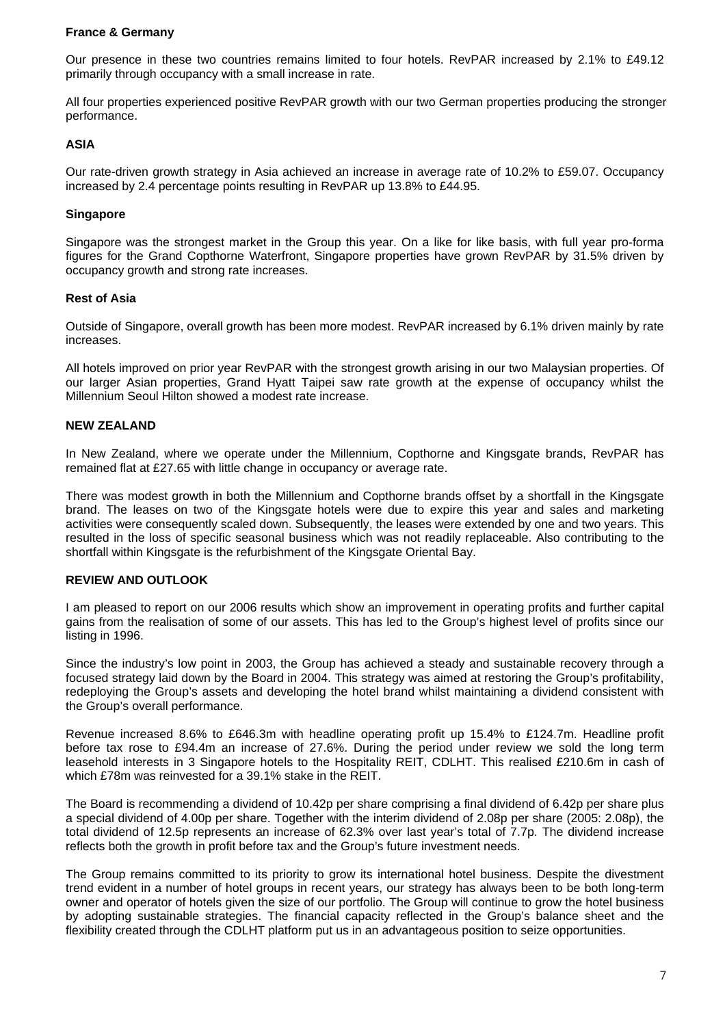#### **France & Germany**

Our presence in these two countries remains limited to four hotels. RevPAR increased by 2.1% to £49.12 primarily through occupancy with a small increase in rate.

All four properties experienced positive RevPAR growth with our two German properties producing the stronger performance.

#### **ASIA**

Our rate-driven growth strategy in Asia achieved an increase in average rate of 10.2% to £59.07. Occupancy increased by 2.4 percentage points resulting in RevPAR up 13.8% to £44.95.

#### **Singapore**

Singapore was the strongest market in the Group this year. On a like for like basis, with full year pro-forma figures for the Grand Copthorne Waterfront, Singapore properties have grown RevPAR by 31.5% driven by occupancy growth and strong rate increases.

#### **Rest of Asia**

Outside of Singapore, overall growth has been more modest. RevPAR increased by 6.1% driven mainly by rate increases.

All hotels improved on prior year RevPAR with the strongest growth arising in our two Malaysian properties. Of our larger Asian properties, Grand Hyatt Taipei saw rate growth at the expense of occupancy whilst the Millennium Seoul Hilton showed a modest rate increase.

#### **NEW ZEALAND**

In New Zealand, where we operate under the Millennium, Copthorne and Kingsgate brands, RevPAR has remained flat at £27.65 with little change in occupancy or average rate.

There was modest growth in both the Millennium and Copthorne brands offset by a shortfall in the Kingsgate brand. The leases on two of the Kingsgate hotels were due to expire this year and sales and marketing activities were consequently scaled down. Subsequently, the leases were extended by one and two years. This resulted in the loss of specific seasonal business which was not readily replaceable. Also contributing to the shortfall within Kingsgate is the refurbishment of the Kingsgate Oriental Bay.

### **REVIEW AND OUTLOOK**

I am pleased to report on our 2006 results which show an improvement in operating profits and further capital gains from the realisation of some of our assets. This has led to the Group's highest level of profits since our listing in 1996.

Since the industry's low point in 2003, the Group has achieved a steady and sustainable recovery through a focused strategy laid down by the Board in 2004. This strategy was aimed at restoring the Group's profitability, redeploying the Group's assets and developing the hotel brand whilst maintaining a dividend consistent with the Group's overall performance.

Revenue increased 8.6% to £646.3m with headline operating profit up 15.4% to £124.7m. Headline profit before tax rose to £94.4m an increase of 27.6%. During the period under review we sold the long term leasehold interests in 3 Singapore hotels to the Hospitality REIT, CDLHT. This realised £210.6m in cash of which £78m was reinvested for a 39.1% stake in the REIT.

The Board is recommending a dividend of 10.42p per share comprising a final dividend of 6.42p per share plus a special dividend of 4.00p per share. Together with the interim dividend of 2.08p per share (2005: 2.08p), the total dividend of 12.5p represents an increase of 62.3% over last year's total of 7.7p. The dividend increase reflects both the growth in profit before tax and the Group's future investment needs.

The Group remains committed to its priority to grow its international hotel business. Despite the divestment trend evident in a number of hotel groups in recent years, our strategy has always been to be both long-term owner and operator of hotels given the size of our portfolio. The Group will continue to grow the hotel business by adopting sustainable strategies. The financial capacity reflected in the Group's balance sheet and the flexibility created through the CDLHT platform put us in an advantageous position to seize opportunities.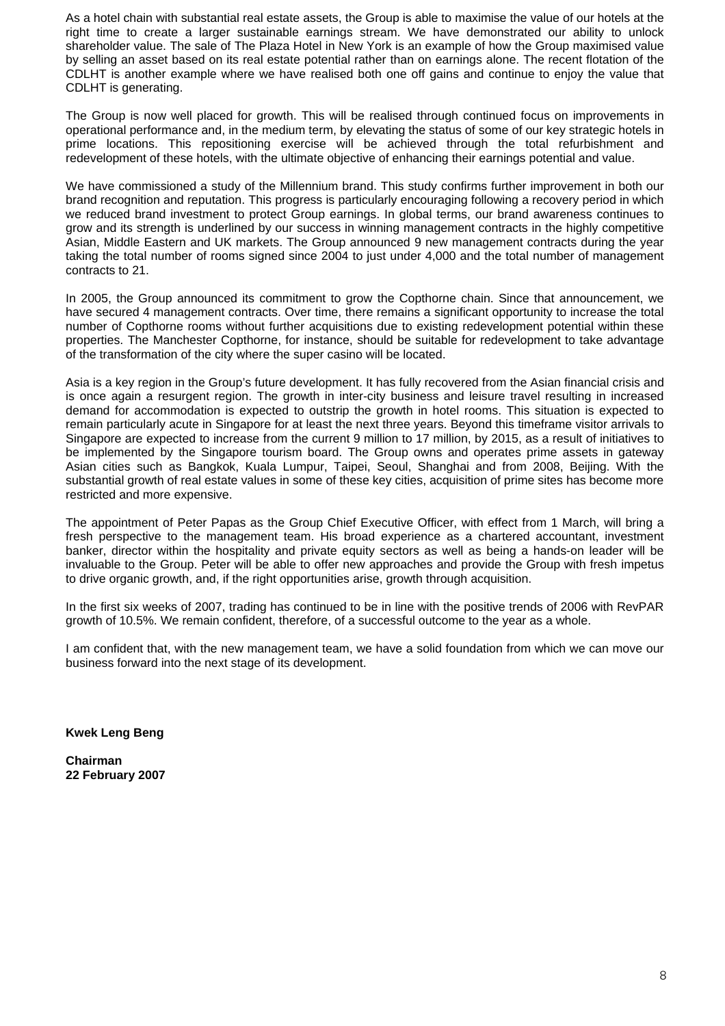As a hotel chain with substantial real estate assets, the Group is able to maximise the value of our hotels at the right time to create a larger sustainable earnings stream. We have demonstrated our ability to unlock shareholder value. The sale of The Plaza Hotel in New York is an example of how the Group maximised value by selling an asset based on its real estate potential rather than on earnings alone. The recent flotation of the CDLHT is another example where we have realised both one off gains and continue to enjoy the value that CDLHT is generating.

The Group is now well placed for growth. This will be realised through continued focus on improvements in operational performance and, in the medium term, by elevating the status of some of our key strategic hotels in prime locations. This repositioning exercise will be achieved through the total refurbishment and redevelopment of these hotels, with the ultimate objective of enhancing their earnings potential and value.

We have commissioned a study of the Millennium brand. This study confirms further improvement in both our brand recognition and reputation. This progress is particularly encouraging following a recovery period in which we reduced brand investment to protect Group earnings. In global terms, our brand awareness continues to grow and its strength is underlined by our success in winning management contracts in the highly competitive Asian, Middle Eastern and UK markets. The Group announced 9 new management contracts during the year taking the total number of rooms signed since 2004 to just under 4,000 and the total number of management contracts to 21.

In 2005, the Group announced its commitment to grow the Copthorne chain. Since that announcement, we have secured 4 management contracts. Over time, there remains a significant opportunity to increase the total number of Copthorne rooms without further acquisitions due to existing redevelopment potential within these properties. The Manchester Copthorne, for instance, should be suitable for redevelopment to take advantage of the transformation of the city where the super casino will be located.

Asia is a key region in the Group's future development. It has fully recovered from the Asian financial crisis and is once again a resurgent region. The growth in inter-city business and leisure travel resulting in increased demand for accommodation is expected to outstrip the growth in hotel rooms. This situation is expected to remain particularly acute in Singapore for at least the next three years. Beyond this timeframe visitor arrivals to Singapore are expected to increase from the current 9 million to 17 million, by 2015, as a result of initiatives to be implemented by the Singapore tourism board. The Group owns and operates prime assets in gateway Asian cities such as Bangkok, Kuala Lumpur, Taipei, Seoul, Shanghai and from 2008, Beijing. With the substantial growth of real estate values in some of these key cities, acquisition of prime sites has become more restricted and more expensive.

The appointment of Peter Papas as the Group Chief Executive Officer, with effect from 1 March, will bring a fresh perspective to the management team. His broad experience as a chartered accountant, investment banker, director within the hospitality and private equity sectors as well as being a hands-on leader will be invaluable to the Group. Peter will be able to offer new approaches and provide the Group with fresh impetus to drive organic growth, and, if the right opportunities arise, growth through acquisition.

In the first six weeks of 2007, trading has continued to be in line with the positive trends of 2006 with RevPAR growth of 10.5%. We remain confident, therefore, of a successful outcome to the year as a whole.

I am confident that, with the new management team, we have a solid foundation from which we can move our business forward into the next stage of its development.

**Kwek Leng Beng** 

**Chairman 22 February 2007**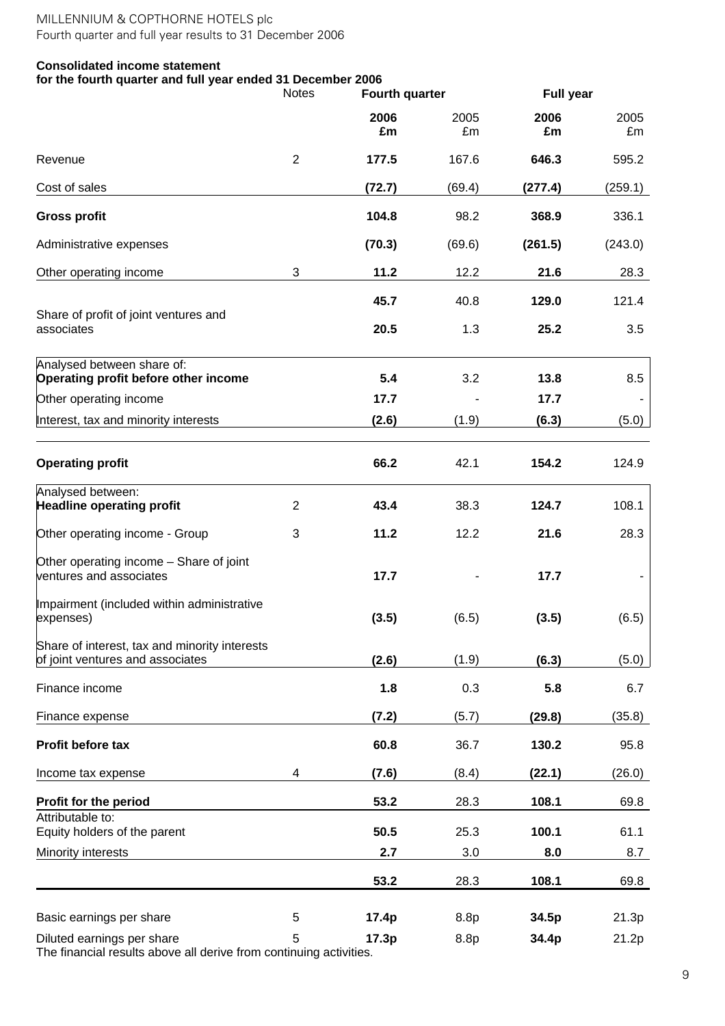# **Consolidated income statement**

## **for the fourth quarter and full year ended 31 December 2006**

|                                                                                   | <b>Notes</b>   | <b>Fourth quarter</b> |            | <b>Full year</b> |            |  |
|-----------------------------------------------------------------------------------|----------------|-----------------------|------------|------------------|------------|--|
|                                                                                   |                | 2006<br>£m            | 2005<br>£m | 2006<br>£m       | 2005<br>£m |  |
| Revenue                                                                           | $\overline{2}$ | 177.5                 | 167.6      | 646.3            | 595.2      |  |
| Cost of sales                                                                     |                | (72.7)                | (69.4)     | (277.4)          | (259.1)    |  |
| <b>Gross profit</b>                                                               |                | 104.8                 | 98.2       | 368.9            | 336.1      |  |
| Administrative expenses                                                           |                | (70.3)                | (69.6)     | (261.5)          | (243.0)    |  |
| Other operating income                                                            | 3              | 11.2                  | 12.2       | 21.6             | 28.3       |  |
|                                                                                   |                | 45.7                  | 40.8       | 129.0            | 121.4      |  |
| Share of profit of joint ventures and<br>associates                               |                | 20.5                  | 1.3        | 25.2             | 3.5        |  |
| Analysed between share of:<br>Operating profit before other income                |                | 5.4                   | 3.2        | 13.8             | 8.5        |  |
| Other operating income                                                            |                | 17.7                  |            | 17.7             |            |  |
| Interest, tax and minority interests                                              |                | (2.6)                 | (1.9)      | (6.3)            | (5.0)      |  |
| <b>Operating profit</b>                                                           |                | 66.2                  | 42.1       | 154.2            | 124.9      |  |
| Analysed between:<br><b>Headline operating profit</b>                             | $\overline{2}$ | 43.4                  | 38.3       | 124.7            | 108.1      |  |
| Other operating income - Group                                                    | 3              | 11.2                  | 12.2       | 21.6             | 28.3       |  |
| Other operating income - Share of joint<br>ventures and associates                |                | 17.7                  |            | 17.7             |            |  |
| Impairment (included within administrative<br>expenses)                           |                | (3.5)                 | (6.5)      | (3.5)            | (6.5)      |  |
| Share of interest, tax and minority interests<br>of joint ventures and associates |                | (2.6)                 | (1.9)      | (6.3)            | (5.0)      |  |
| Finance income                                                                    |                | 1.8                   | 0.3        | 5.8              | 6.7        |  |
| Finance expense                                                                   |                | (7.2)                 | (5.7)      | (29.8)           | (35.8)     |  |
| Profit before tax                                                                 |                | 60.8                  | 36.7       | 130.2            | 95.8       |  |
| Income tax expense                                                                | 4              | (7.6)                 | (8.4)      | (22.1)           | (26.0)     |  |
| Profit for the period                                                             |                | 53.2                  | 28.3       | 108.1            | 69.8       |  |
| Attributable to:<br>Equity holders of the parent                                  |                | 50.5                  | 25.3       | 100.1            | 61.1       |  |
| Minority interests                                                                |                | 2.7                   | 3.0        | 8.0              | 8.7        |  |
|                                                                                   |                | 53.2                  | 28.3       | 108.1            | 69.8       |  |
| Basic earnings per share                                                          | 5              | 17.4p                 | 8.8p       | 34.5p            | 21.3p      |  |
| Diluted earnings per share                                                        | 5              | 17.3p                 | 8.8p       | 34.4p            | 21.2p      |  |

The financial results above all derive from continuing activities.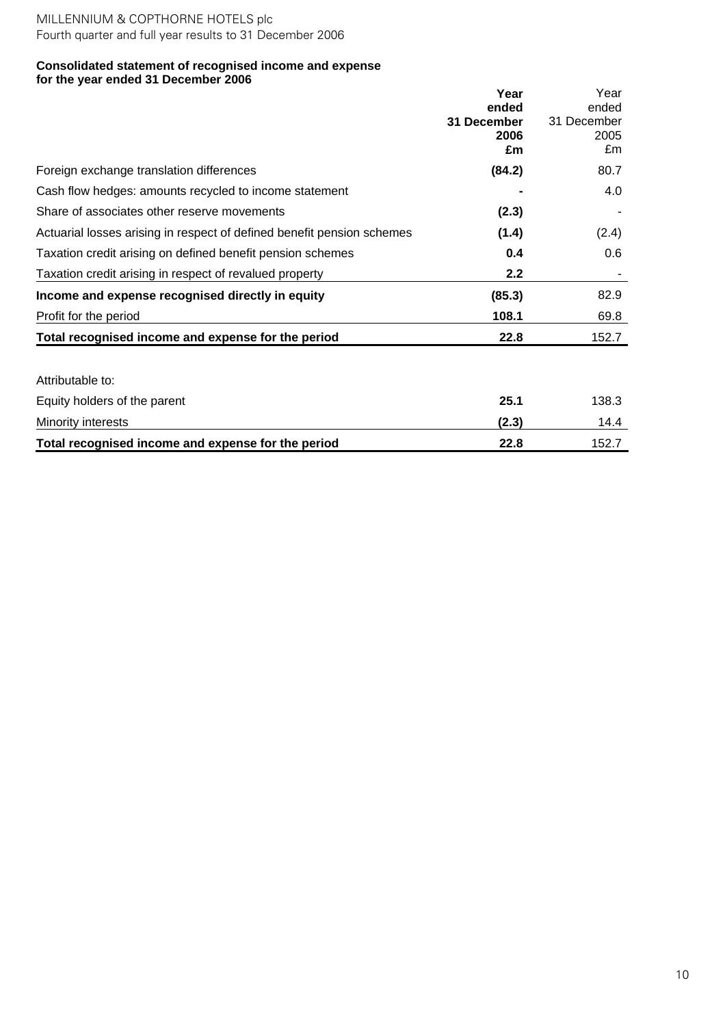#### **Consolidated statement of recognised income and expense for the year ended 31 December 2006**

|                                                                        | Year                         | Year                         |
|------------------------------------------------------------------------|------------------------------|------------------------------|
|                                                                        | ended<br>31 December<br>2006 | ended<br>31 December<br>2005 |
|                                                                        | £m                           | £m                           |
| Foreign exchange translation differences                               | (84.2)                       | 80.7                         |
| Cash flow hedges: amounts recycled to income statement                 |                              | 4.0                          |
| Share of associates other reserve movements                            | (2.3)                        |                              |
| Actuarial losses arising in respect of defined benefit pension schemes | (1.4)                        | (2.4)                        |
| Taxation credit arising on defined benefit pension schemes             | 0.4                          | 0.6                          |
| Taxation credit arising in respect of revalued property                | 2.2                          |                              |
| Income and expense recognised directly in equity                       | (85.3)                       | 82.9                         |
| Profit for the period                                                  | 108.1                        | 69.8                         |
| Total recognised income and expense for the period                     | 22.8                         | 152.7                        |
| Attributable to:                                                       |                              |                              |
| Equity holders of the parent                                           | 25.1                         | 138.3                        |
| Minority interests                                                     | (2.3)                        | 14.4                         |
| Total recognised income and expense for the period                     | 22.8                         | 152.7                        |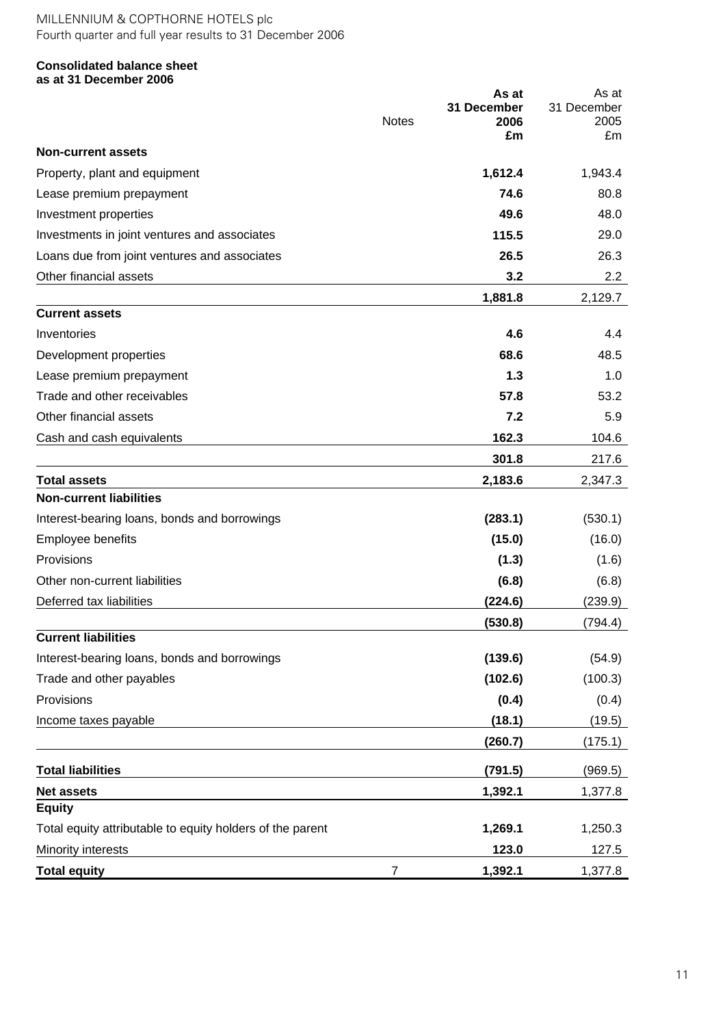### **Consolidated balance sheet as at 31 December 2006**

|                                                           | <b>Notes</b>   | As at<br>31 December<br>2006<br>£m | As at<br>31 December<br>2005<br>£m |
|-----------------------------------------------------------|----------------|------------------------------------|------------------------------------|
| <b>Non-current assets</b>                                 |                |                                    |                                    |
| Property, plant and equipment                             |                | 1,612.4                            | 1,943.4                            |
| Lease premium prepayment                                  |                | 74.6                               | 80.8                               |
| Investment properties                                     |                | 49.6                               | 48.0                               |
| Investments in joint ventures and associates              |                | 115.5                              | 29.0                               |
| Loans due from joint ventures and associates              |                | 26.5                               | 26.3                               |
| Other financial assets                                    |                | 3.2                                | 2.2                                |
|                                                           |                | 1,881.8                            | 2,129.7                            |
| <b>Current assets</b>                                     |                |                                    |                                    |
| Inventories                                               |                | 4.6                                | 4.4                                |
| Development properties                                    |                | 68.6                               | 48.5                               |
| Lease premium prepayment                                  |                | 1.3                                | 1.0                                |
| Trade and other receivables                               |                | 57.8                               | 53.2                               |
| Other financial assets                                    |                | 7.2                                | 5.9                                |
| Cash and cash equivalents                                 |                | 162.3                              | 104.6                              |
|                                                           |                | 301.8                              | 217.6                              |
| <b>Total assets</b>                                       |                | 2,183.6                            | 2,347.3                            |
| <b>Non-current liabilities</b>                            |                |                                    |                                    |
| Interest-bearing loans, bonds and borrowings              |                | (283.1)                            | (530.1)                            |
| Employee benefits                                         |                | (15.0)                             | (16.0)                             |
| Provisions                                                |                | (1.3)                              | (1.6)                              |
| Other non-current liabilities                             |                | (6.8)                              | (6.8)                              |
| Deferred tax liabilities                                  |                | (224.6)                            | (239.9)                            |
|                                                           |                | (530.8)                            | (794.4)                            |
| <b>Current liabilities</b>                                |                |                                    |                                    |
| Interest-bearing loans, bonds and borrowings              |                | (139.6)                            | (54.9)                             |
| Trade and other payables                                  |                | (102.6)                            | (100.3)                            |
| Provisions                                                |                | (0.4)                              | (0.4)                              |
| Income taxes payable                                      |                | (18.1)                             | (19.5)                             |
|                                                           |                | (260.7)                            | (175.1)                            |
| <b>Total liabilities</b>                                  |                | (791.5)                            | (969.5)                            |
| <b>Net assets</b>                                         |                | 1,392.1                            | 1,377.8                            |
| <b>Equity</b>                                             |                |                                    |                                    |
| Total equity attributable to equity holders of the parent |                | 1,269.1                            | 1,250.3                            |
| Minority interests                                        |                | 123.0                              | 127.5                              |
| <b>Total equity</b>                                       | $\overline{7}$ | 1,392.1                            | 1,377.8                            |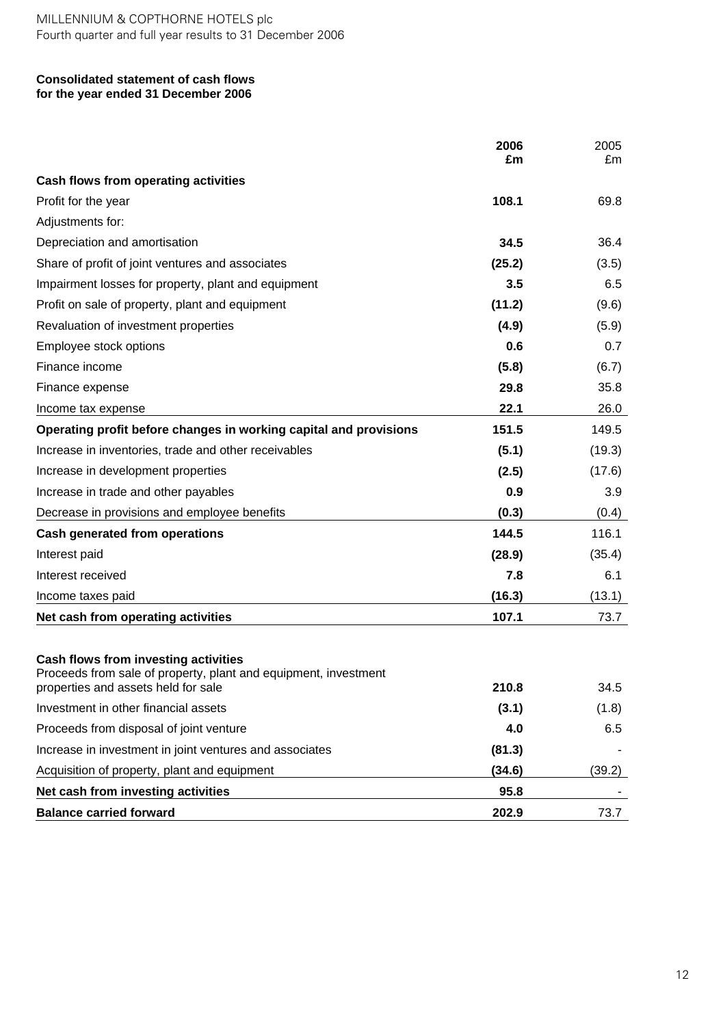#### **Consolidated statement of cash flows for the year ended 31 December 2006**

|                                                                                                                                                | 2006<br>£m | 2005<br>£m |
|------------------------------------------------------------------------------------------------------------------------------------------------|------------|------------|
| Cash flows from operating activities                                                                                                           |            |            |
| Profit for the year                                                                                                                            | 108.1      | 69.8       |
| Adjustments for:                                                                                                                               |            |            |
| Depreciation and amortisation                                                                                                                  | 34.5       | 36.4       |
| Share of profit of joint ventures and associates                                                                                               | (25.2)     | (3.5)      |
| Impairment losses for property, plant and equipment                                                                                            | 3.5        | 6.5        |
| Profit on sale of property, plant and equipment                                                                                                | (11.2)     | (9.6)      |
| Revaluation of investment properties                                                                                                           | (4.9)      | (5.9)      |
| Employee stock options                                                                                                                         | 0.6        | 0.7        |
| Finance income                                                                                                                                 | (5.8)      | (6.7)      |
| Finance expense                                                                                                                                | 29.8       | 35.8       |
| Income tax expense                                                                                                                             | 22.1       | 26.0       |
| Operating profit before changes in working capital and provisions                                                                              | 151.5      | 149.5      |
| Increase in inventories, trade and other receivables                                                                                           | (5.1)      | (19.3)     |
| Increase in development properties                                                                                                             | (2.5)      | (17.6)     |
| Increase in trade and other payables                                                                                                           | 0.9        | 3.9        |
| Decrease in provisions and employee benefits                                                                                                   | (0.3)      | (0.4)      |
| <b>Cash generated from operations</b>                                                                                                          | 144.5      | 116.1      |
| Interest paid                                                                                                                                  | (28.9)     | (35.4)     |
| Interest received                                                                                                                              | 7.8        | 6.1        |
| Income taxes paid                                                                                                                              | (16.3)     | (13.1)     |
| Net cash from operating activities                                                                                                             | 107.1      | 73.7       |
| Cash flows from investing activities<br>Proceeds from sale of property, plant and equipment, investment<br>properties and assets held for sale | 210.8      | 34.5       |
| Investment in other financial assets                                                                                                           | (3.1)      | (1.8)      |
| Proceeds from disposal of joint venture                                                                                                        | 4.0        | 6.5        |
| Increase in investment in joint ventures and associates                                                                                        | (81.3)     |            |
| Acquisition of property, plant and equipment                                                                                                   | (34.6)     | (39.2)     |
| Net cash from investing activities                                                                                                             | 95.8       |            |
| <b>Balance carried forward</b>                                                                                                                 | 202.9      | 73.7       |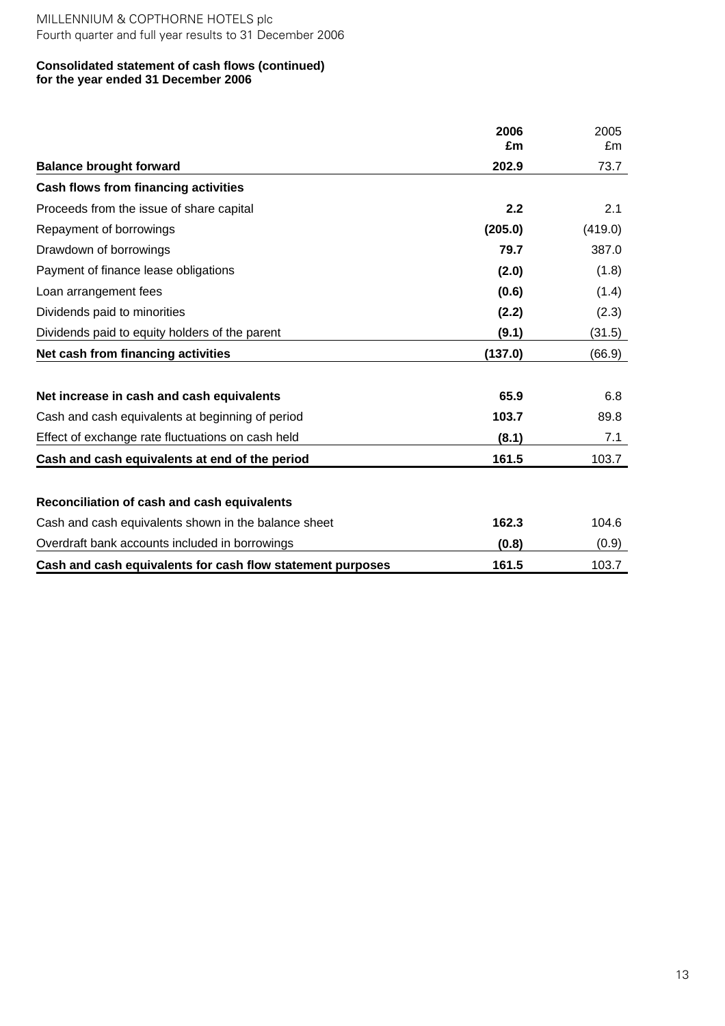#### **Consolidated statement of cash flows (continued) for the year ended 31 December 2006**

|                                                            | 2006<br>£m | 2005<br>£m |
|------------------------------------------------------------|------------|------------|
| <b>Balance brought forward</b>                             | 202.9      | 73.7       |
| <b>Cash flows from financing activities</b>                |            |            |
| Proceeds from the issue of share capital                   | 2.2        | 2.1        |
| Repayment of borrowings                                    | (205.0)    | (419.0)    |
| Drawdown of borrowings                                     | 79.7       | 387.0      |
| Payment of finance lease obligations                       | (2.0)      | (1.8)      |
| Loan arrangement fees                                      | (0.6)      | (1.4)      |
| Dividends paid to minorities                               | (2.2)      | (2.3)      |
| Dividends paid to equity holders of the parent             | (9.1)      | (31.5)     |
| Net cash from financing activities                         | (137.0)    | (66.9)     |
|                                                            |            |            |
| Net increase in cash and cash equivalents                  | 65.9       | 6.8        |
| Cash and cash equivalents at beginning of period           | 103.7      | 89.8       |
| Effect of exchange rate fluctuations on cash held          | (8.1)      | 7.1        |
| Cash and cash equivalents at end of the period             | 161.5      | 103.7      |
|                                                            |            |            |
| Reconciliation of cash and cash equivalents                |            |            |
| Cash and cash equivalents shown in the balance sheet       | 162.3      | 104.6      |
| Overdraft bank accounts included in borrowings             | (0.8)      | (0.9)      |
| Cash and cash equivalents for cash flow statement purposes | 161.5      | 103.7      |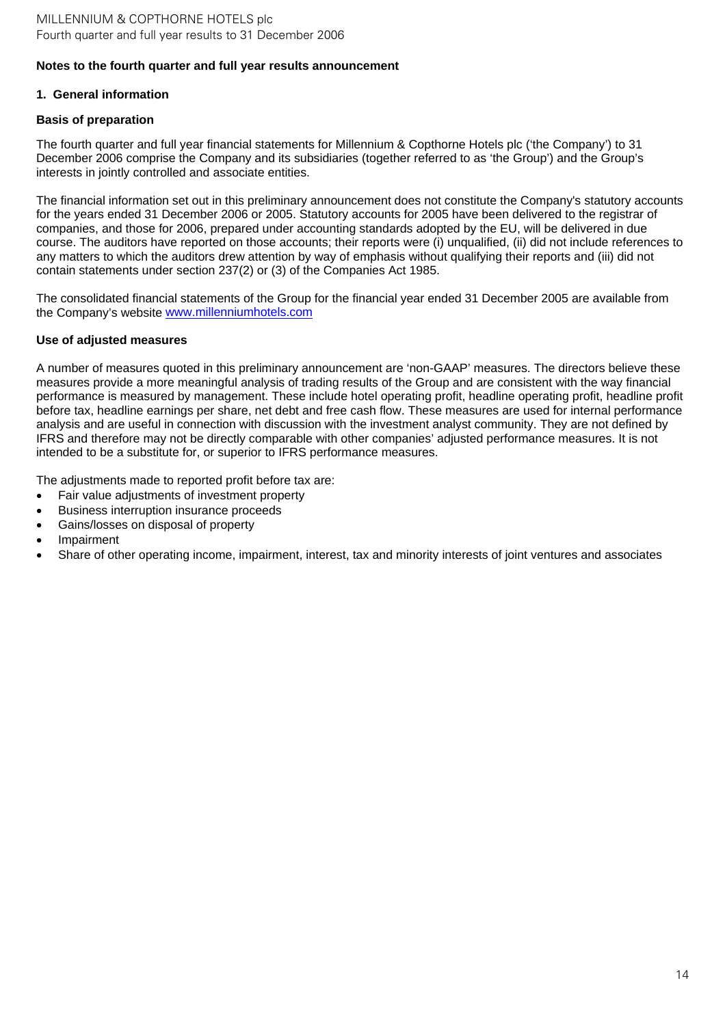## **1. General information**

## **Basis of preparation**

The fourth quarter and full year financial statements for Millennium & Copthorne Hotels plc ('the Company') to 31 December 2006 comprise the Company and its subsidiaries (together referred to as 'the Group') and the Group's interests in jointly controlled and associate entities.

The financial information set out in this preliminary announcement does not constitute the Company's statutory accounts for the years ended 31 December 2006 or 2005. Statutory accounts for 2005 have been delivered to the registrar of companies, and those for 2006, prepared under accounting standards adopted by the EU, will be delivered in due course. The auditors have reported on those accounts; their reports were (i) unqualified, (ii) did not include references to any matters to which the auditors drew attention by way of emphasis without qualifying their reports and (iii) did not contain statements under section 237(2) or (3) of the Companies Act 1985.

The consolidated financial statements of the Group for the financial year ended 31 December 2005 are available from the Company's website [www.millenniumhotels.com](http://www.millenniumhotels.com/)

### **Use of adjusted measures**

A number of measures quoted in this preliminary announcement are 'non-GAAP' measures. The directors believe these measures provide a more meaningful analysis of trading results of the Group and are consistent with the way financial performance is measured by management. These include hotel operating profit, headline operating profit, headline profit before tax, headline earnings per share, net debt and free cash flow. These measures are used for internal performance analysis and are useful in connection with discussion with the investment analyst community. They are not defined by IFRS and therefore may not be directly comparable with other companies' adjusted performance measures. It is not intended to be a substitute for, or superior to IFRS performance measures.

The adjustments made to reported profit before tax are:

- Fair value adjustments of investment property
- Business interruption insurance proceeds
- Gains/losses on disposal of property
- **Impairment**
- Share of other operating income, impairment, interest, tax and minority interests of joint ventures and associates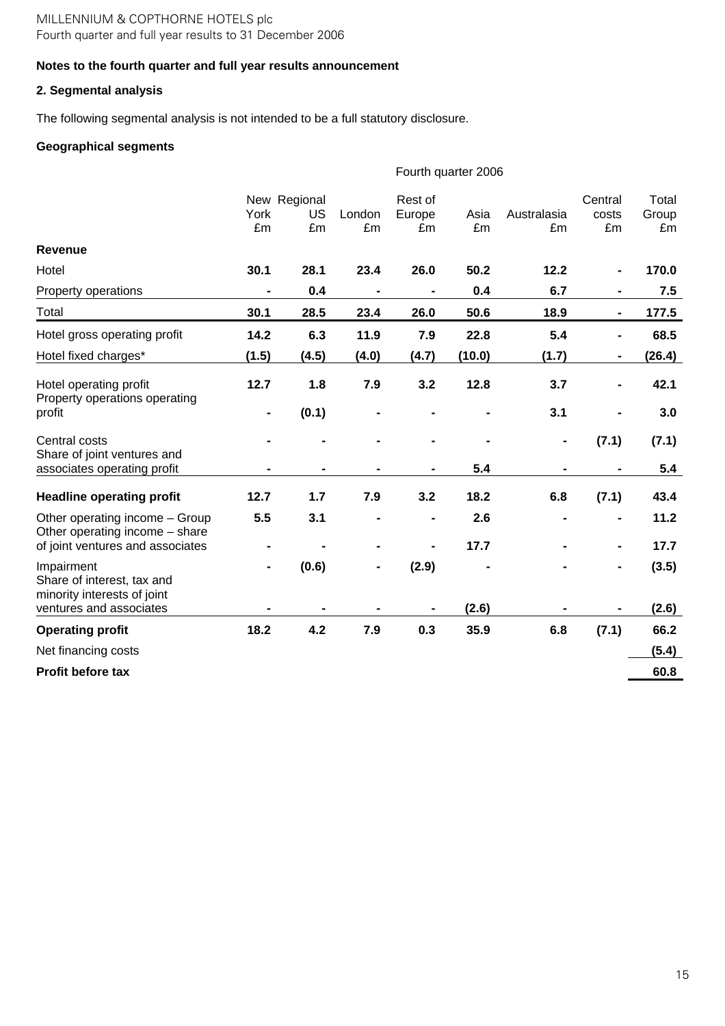# **Notes to the fourth quarter and full year results announcement**

# **2. Segmental analysis**

The following segmental analysis is not intended to be a full statutory disclosure.

# **Geographical segments**

|                                                                         |            |                          |              |                         | Fourth quarter 2006 |                   |                              |                      |
|-------------------------------------------------------------------------|------------|--------------------------|--------------|-------------------------|---------------------|-------------------|------------------------------|----------------------|
|                                                                         | York<br>£m | New Regional<br>US<br>£m | London<br>£m | Rest of<br>Europe<br>£m | Asia<br>£m          | Australasia<br>£m | Central<br>costs<br>£m       | Total<br>Group<br>£m |
| <b>Revenue</b>                                                          |            |                          |              |                         |                     |                   |                              |                      |
| Hotel                                                                   | 30.1       | 28.1                     | 23.4         | 26.0                    | 50.2                | 12.2              |                              | 170.0                |
| Property operations                                                     |            | 0.4                      |              |                         | 0.4                 | 6.7               |                              | 7.5                  |
| Total                                                                   | 30.1       | 28.5                     | 23.4         | 26.0                    | 50.6                | 18.9              |                              | 177.5                |
| Hotel gross operating profit                                            | 14.2       | 6.3                      | 11.9         | 7.9                     | 22.8                | 5.4               | $\blacksquare$               | 68.5                 |
| Hotel fixed charges*                                                    | (1.5)      | (4.5)                    | (4.0)        | (4.7)                   | (10.0)              | (1.7)             | $\blacksquare$               | (26.4)               |
| Hotel operating profit<br>Property operations operating                 | 12.7       | 1.8                      | 7.9          | 3.2                     | 12.8                | 3.7               | $\qquad \qquad \blacksquare$ | 42.1                 |
| profit                                                                  |            | (0.1)                    |              |                         |                     | 3.1               |                              | 3.0                  |
| Central costs<br>Share of joint ventures and                            |            |                          |              |                         |                     |                   | (7.1)                        | (7.1)                |
| associates operating profit                                             |            |                          |              |                         | 5.4                 |                   |                              | 5.4                  |
| <b>Headline operating profit</b>                                        | 12.7       | 1.7                      | 7.9          | 3.2                     | 18.2                | 6.8               | (7.1)                        | 43.4                 |
| Other operating income - Group<br>Other operating income - share        | 5.5        | 3.1                      |              |                         | 2.6                 |                   |                              | 11.2                 |
| of joint ventures and associates                                        |            |                          |              |                         | 17.7                |                   |                              | 17.7                 |
| Impairment<br>Share of interest, tax and<br>minority interests of joint |            | (0.6)                    |              | (2.9)                   |                     |                   |                              | (3.5)                |
| ventures and associates                                                 |            |                          |              |                         | (2.6)               |                   |                              | (2.6)                |
| <b>Operating profit</b>                                                 | 18.2       | 4.2                      | 7.9          | 0.3                     | 35.9                | 6.8               | (7.1)                        | 66.2                 |
| Net financing costs                                                     |            |                          |              |                         |                     |                   |                              | (5.4)                |
| <b>Profit before tax</b>                                                |            |                          |              |                         |                     |                   |                              | 60.8                 |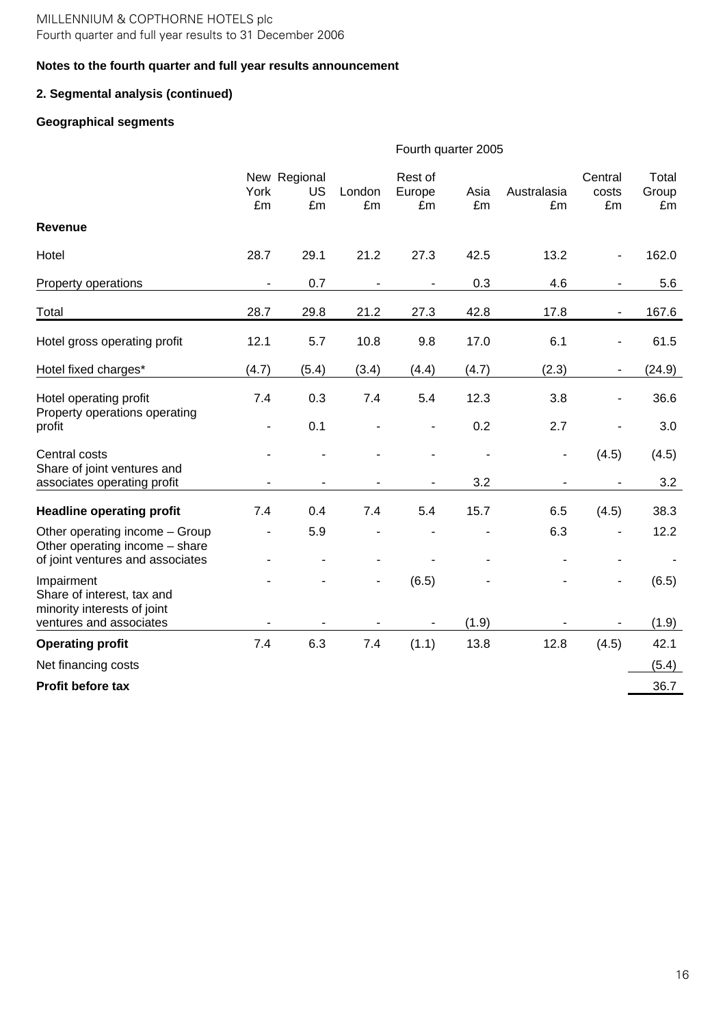## **Notes to the fourth quarter and full year results announcement**

# **2. Segmental analysis (continued)**

# **Geographical segments**

|                                                                  | Fourth quarter 2005 |                          |              |                         |            |                   |                              |                      |
|------------------------------------------------------------------|---------------------|--------------------------|--------------|-------------------------|------------|-------------------|------------------------------|----------------------|
|                                                                  | York<br>£m          | New Regional<br>US<br>£m | London<br>£m | Rest of<br>Europe<br>£m | Asia<br>£m | Australasia<br>£m | Central<br>costs<br>£m       | Total<br>Group<br>£m |
| <b>Revenue</b>                                                   |                     |                          |              |                         |            |                   |                              |                      |
| Hotel                                                            | 28.7                | 29.1                     | 21.2         | 27.3                    | 42.5       | 13.2              | ٠                            | 162.0                |
| Property operations                                              |                     | 0.7                      |              |                         | 0.3        | 4.6               |                              | 5.6                  |
| Total                                                            | 28.7                | 29.8                     | 21.2         | 27.3                    | 42.8       | 17.8              | ÷,                           | 167.6                |
| Hotel gross operating profit                                     | 12.1                | 5.7                      | 10.8         | 9.8                     | 17.0       | 6.1               | ÷,                           | 61.5                 |
| Hotel fixed charges*                                             | (4.7)               | (5.4)                    | (3.4)        | (4.4)                   | (4.7)      | (2.3)             | ÷                            | (24.9)               |
| Hotel operating profit<br>Property operations operating          | 7.4                 | 0.3                      | 7.4          | 5.4                     | 12.3       | 3.8               | $\qquad \qquad \blacksquare$ | 36.6                 |
| profit                                                           | ÷,                  | 0.1                      |              | ÷,                      | 0.2        | 2.7               | ä,                           | 3.0                  |
| Central costs<br>Share of joint ventures and                     |                     |                          |              |                         |            |                   | (4.5)                        | (4.5)                |
| associates operating profit                                      |                     |                          |              |                         | 3.2        |                   |                              | 3.2                  |
| <b>Headline operating profit</b>                                 | 7.4                 | 0.4                      | 7.4          | 5.4                     | 15.7       | 6.5               | (4.5)                        | 38.3                 |
| Other operating income - Group<br>Other operating income - share |                     | 5.9                      |              |                         |            | 6.3               |                              | 12.2                 |
| of joint ventures and associates                                 |                     |                          |              |                         |            |                   |                              |                      |
| Impairment<br>Share of interest, tax and                         |                     |                          | ٠            | (6.5)                   |            |                   |                              | (6.5)                |
| minority interests of joint<br>ventures and associates           |                     |                          |              |                         | (1.9)      |                   |                              | (1.9)                |
| <b>Operating profit</b>                                          | 7.4                 | 6.3                      | 7.4          | (1.1)                   | 13.8       | 12.8              | (4.5)                        | 42.1                 |
| Net financing costs                                              |                     |                          |              |                         |            |                   |                              | (5.4)                |
| Profit before tax                                                |                     |                          |              |                         |            |                   |                              | 36.7                 |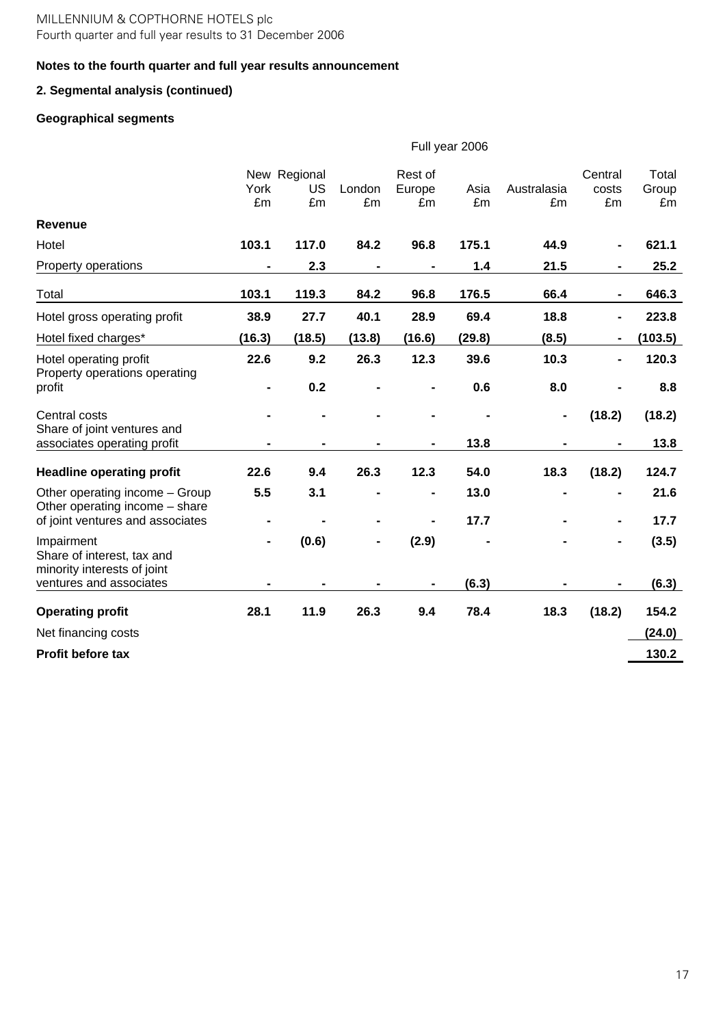# **Notes to the fourth quarter and full year results announcement**

# **2. Segmental analysis (continued)**

# **Geographical segments**

|                                                                  | Full year 2006               |                          |                |                         |            |                   |                              |                      |
|------------------------------------------------------------------|------------------------------|--------------------------|----------------|-------------------------|------------|-------------------|------------------------------|----------------------|
|                                                                  | York<br>£m                   | New Regional<br>US<br>£m | London<br>£m   | Rest of<br>Europe<br>£m | Asia<br>£m | Australasia<br>£m | Central<br>costs<br>£m       | Total<br>Group<br>£m |
| <b>Revenue</b>                                                   |                              |                          |                |                         |            |                   |                              |                      |
| Hotel                                                            | 103.1                        | 117.0                    | 84.2           | 96.8                    | 175.1      | 44.9              | $\blacksquare$               | 621.1                |
| Property operations                                              | $\blacksquare$               | 2.3                      | $\blacksquare$ |                         | $1.4$      | 21.5              | $\blacksquare$               | 25.2                 |
| Total                                                            | 103.1                        | 119.3                    | 84.2           | 96.8                    | 176.5      | 66.4              | $\blacksquare$               | 646.3                |
| Hotel gross operating profit                                     | 38.9                         | 27.7                     | 40.1           | 28.9                    | 69.4       | 18.8              | $\qquad \qquad \blacksquare$ | 223.8                |
| Hotel fixed charges*                                             | (16.3)                       | (18.5)                   | (13.8)         | (16.6)                  | (29.8)     | (8.5)             | $\blacksquare$               | (103.5)              |
| Hotel operating profit<br>Property operations operating          | 22.6                         | 9.2                      | 26.3           | 12.3                    | 39.6       | 10.3              | $\blacksquare$               | 120.3                |
| profit                                                           | $\qquad \qquad \blacksquare$ | 0.2                      |                |                         | 0.6        | 8.0               |                              | 8.8                  |
| Central costs                                                    |                              |                          |                |                         |            |                   | (18.2)                       | (18.2)               |
| Share of joint ventures and<br>associates operating profit       |                              |                          |                |                         | 13.8       |                   |                              | 13.8                 |
| <b>Headline operating profit</b>                                 | 22.6                         | 9.4                      | 26.3           | 12.3                    | 54.0       | 18.3              | (18.2)                       | 124.7                |
| Other operating income - Group<br>Other operating income - share | 5.5                          | 3.1                      |                | -                       | 13.0       |                   | $\blacksquare$               | 21.6                 |
| of joint ventures and associates                                 | -                            |                          |                |                         | 17.7       |                   | $\blacksquare$               | 17.7                 |
| Impairment<br>Share of interest, tax and                         |                              | (0.6)                    | $\blacksquare$ | (2.9)                   |            |                   | -                            | (3.5)                |
| minority interests of joint<br>ventures and associates           |                              |                          |                |                         | (6.3)      |                   |                              | (6.3)                |
| <b>Operating profit</b>                                          | 28.1                         | 11.9                     | 26.3           | 9.4                     | 78.4       | 18.3              | (18.2)                       | 154.2                |
| Net financing costs                                              |                              |                          |                |                         |            |                   |                              | (24.0)               |
| <b>Profit before tax</b>                                         |                              |                          |                |                         |            |                   |                              | 130.2                |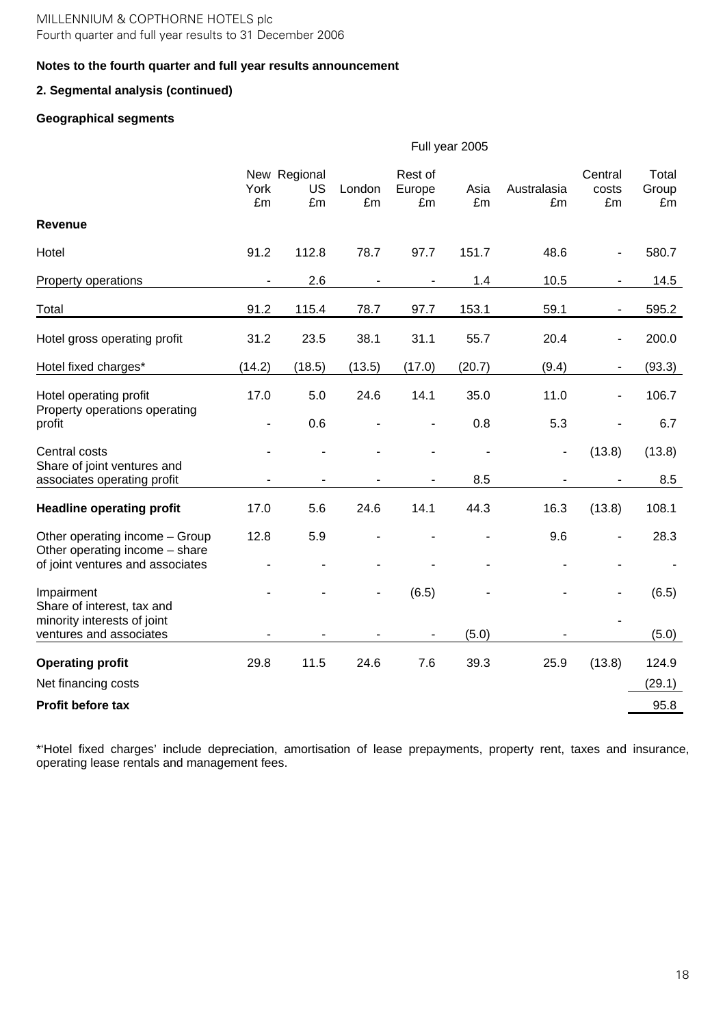### **Notes to the fourth quarter and full year results announcement**

# **2. Segmental analysis (continued)**

# **Geographical segments**

|                                                                  | Full year 2005 |                          |                          |                          |            |                   |                        |                      |
|------------------------------------------------------------------|----------------|--------------------------|--------------------------|--------------------------|------------|-------------------|------------------------|----------------------|
|                                                                  | York<br>£m     | New Regional<br>US<br>£m | London<br>£m             | Rest of<br>Europe<br>£m  | Asia<br>£m | Australasia<br>£m | Central<br>costs<br>£m | Total<br>Group<br>£m |
| <b>Revenue</b>                                                   |                |                          |                          |                          |            |                   |                        |                      |
| Hotel                                                            | 91.2           | 112.8                    | 78.7                     | 97.7                     | 151.7      | 48.6              |                        | 580.7                |
| Property operations                                              |                | 2.6                      |                          | $\overline{\phantom{a}}$ | 1.4        | 10.5              | $\blacksquare$         | 14.5                 |
| Total                                                            | 91.2           | 115.4                    | 78.7                     | 97.7                     | 153.1      | 59.1              | -                      | 595.2                |
| Hotel gross operating profit                                     | 31.2           | 23.5                     | 38.1                     | 31.1                     | 55.7       | 20.4              |                        | 200.0                |
| Hotel fixed charges*                                             | (14.2)         | (18.5)                   | (13.5)                   | (17.0)                   | (20.7)     | (9.4)             |                        | (93.3)               |
| Hotel operating profit                                           | 17.0           | 5.0                      | 24.6                     | 14.1                     | 35.0       | 11.0              | $\blacksquare$         | 106.7                |
| Property operations operating<br>profit                          | ÷,             | 0.6                      |                          |                          | 0.8        | 5.3               |                        | 6.7                  |
| Central costs<br>Share of joint ventures and                     |                |                          |                          |                          |            |                   | (13.8)                 | (13.8)               |
| associates operating profit                                      |                |                          |                          |                          | 8.5        |                   |                        | 8.5                  |
| <b>Headline operating profit</b>                                 | 17.0           | 5.6                      | 24.6                     | 14.1                     | 44.3       | 16.3              | (13.8)                 | 108.1                |
| Other operating income - Group<br>Other operating income - share | 12.8           | 5.9                      | ÷                        |                          |            | 9.6               |                        | 28.3                 |
| of joint ventures and associates                                 |                |                          |                          |                          |            |                   |                        |                      |
| Impairment<br>Share of interest, tax and                         |                |                          | $\overline{\phantom{a}}$ | (6.5)                    |            |                   | ÷,                     | (6.5)                |
| minority interests of joint<br>ventures and associates           |                |                          |                          |                          | (5.0)      |                   |                        | (5.0)                |
| <b>Operating profit</b>                                          | 29.8           | 11.5                     | 24.6                     | 7.6                      | 39.3       | 25.9              | (13.8)                 | 124.9                |
| Net financing costs                                              |                |                          |                          |                          |            |                   |                        | (29.1)               |
| Profit before tax                                                |                |                          |                          |                          |            |                   |                        | 95.8                 |

\*'Hotel fixed charges' include depreciation, amortisation of lease prepayments, property rent, taxes and insurance, operating lease rentals and management fees.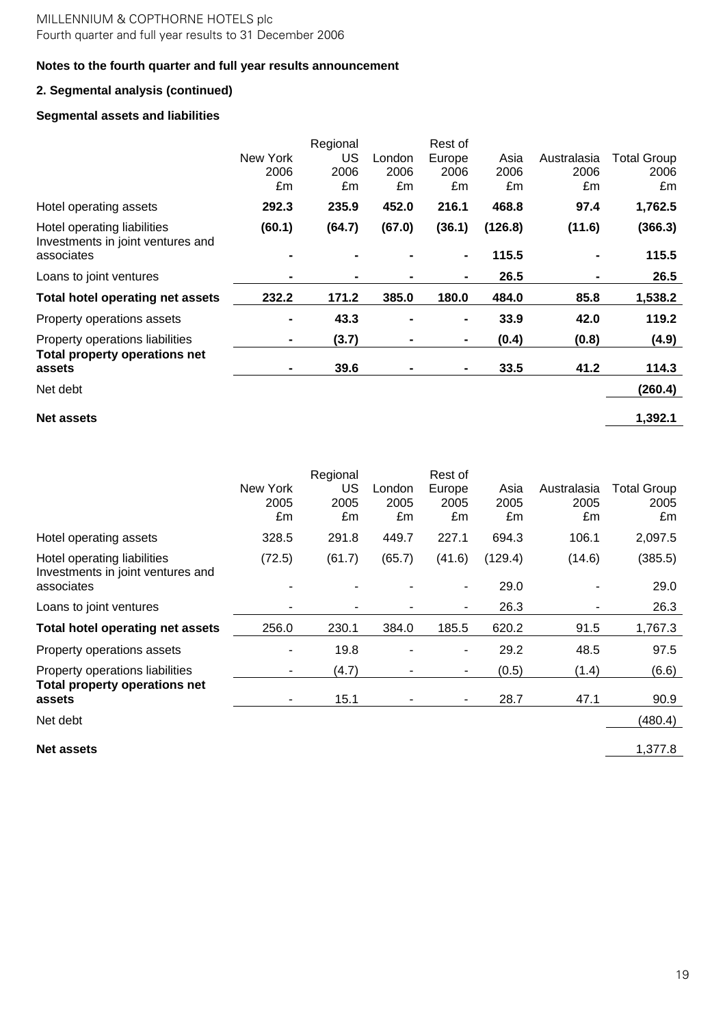# **2. Segmental analysis (continued)**

## **Segmental assets and liabilities**

|                                                                  |                        | Regional         |                      | Rest of              |                    |                           |                                  |
|------------------------------------------------------------------|------------------------|------------------|----------------------|----------------------|--------------------|---------------------------|----------------------------------|
|                                                                  | New York<br>2006<br>£m | US<br>2006<br>£m | _ondon<br>2006<br>£m | Europe<br>2006<br>£m | Asia<br>2006<br>£m | Australasia<br>2006<br>£m | <b>Total Group</b><br>2006<br>£m |
| Hotel operating assets                                           | 292.3                  | 235.9            | 452.0                | 216.1                | 468.8              | 97.4                      | 1,762.5                          |
| Hotel operating liabilities<br>Investments in joint ventures and | (60.1)                 | (64.7)           | (67.0)               | (36.1)               | (126.8)            | (11.6)                    | (366.3)                          |
| associates                                                       |                        |                  |                      | $\blacksquare$       | 115.5              |                           | 115.5                            |
| Loans to joint ventures                                          | $\blacksquare$         |                  |                      | $\blacksquare$       | 26.5               |                           | 26.5                             |
| <b>Total hotel operating net assets</b>                          | 232.2                  | 171.2            | 385.0                | 180.0                | 484.0              | 85.8                      | 1,538.2                          |
| Property operations assets                                       | $\blacksquare$         | 43.3             | $\blacksquare$       | $\blacksquare$       | 33.9               | 42.0                      | 119.2                            |
| Property operations liabilities                                  |                        | (3.7)            | $\blacksquare$       | $\blacksquare$       | (0.4)              | (0.8)                     | (4.9)                            |
| <b>Total property operations net</b><br>assets                   |                        | 39.6             |                      | $\blacksquare$       | 33.5               | 41.2                      | 114.3                            |
| Net debt                                                         |                        |                  |                      |                      |                    |                           | (260.4)                          |

# **Net assets 1,392.1**

New York 2005 **Regional** US 2005 London 2005 Rest of Europe 2005 Asia 2005 Australasia Total Group 2005 2005 £m £m £m £m £m £m £m Hotel operating assets **328.5** 291.8 449.7 227.1 694.3 106.1 2,097.5 Hotel operating liabilities (72.5) (61.7) (65.7) (41.6) (129.4) (14.6) (385.5) Investments in joint ventures and associates - - - - 29.0 - 29.0 Loans to joint ventures **1988** - 1988 - 1988 - 1988 - 1988 - 1988 - 1988 - 1988 - 1988 - 1988 - 1988 - 1988 - 1988 - 1988 - 1988 - 1988 - 1988 - 1988 - 1988 - 1988 - 1988 - 1988 - 1988 - 1988 - 1988 - 1988 - 1988 - 1988 - **Total hotel operating net assets** 256.0 230.1 384.0 185.5 620.2 91.5 1,767.3 Property operations assets 19.8 - 19.8 - 29.2 48.5 97.5 Property operations liabilities  $(4.7)$  -  $(0.5)$   $(1.4)$   $(6.6)$ **Total property operations net assets** - 15.1 - - 28.7 47.1 90.9 Net debt (480.4)

**Net assets** 1,377.8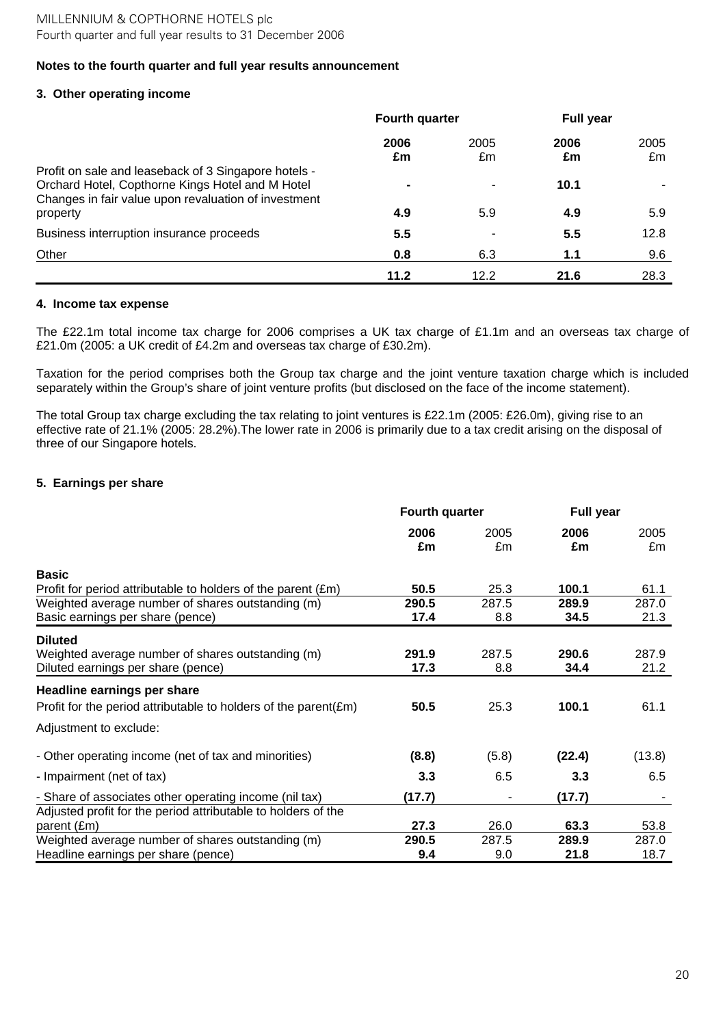## **3. Other operating income**

|                                                                                                                                                                  | <b>Fourth quarter</b> |            | <b>Full year</b> |            |
|------------------------------------------------------------------------------------------------------------------------------------------------------------------|-----------------------|------------|------------------|------------|
|                                                                                                                                                                  | 2006<br>£m            | 2005<br>£m | 2006<br>£m       | 2005<br>£m |
| Profit on sale and leaseback of 3 Singapore hotels -<br>Orchard Hotel, Copthorne Kings Hotel and M Hotel<br>Changes in fair value upon revaluation of investment |                       |            | 10.1             |            |
| property                                                                                                                                                         | 4.9                   | 5.9        | 4.9              | 5.9        |
| Business interruption insurance proceeds                                                                                                                         | 5.5                   |            | 5.5              | 12.8       |
| Other                                                                                                                                                            | 0.8                   | 6.3        | 1.1              | 9.6        |
|                                                                                                                                                                  | 11.2                  | 12.2       | 21.6             | 28.3       |

### **4. Income tax expense**

The £22.1m total income tax charge for 2006 comprises a UK tax charge of £1.1m and an overseas tax charge of £21.0m (2005: a UK credit of £4.2m and overseas tax charge of £30.2m).

Taxation for the period comprises both the Group tax charge and the joint venture taxation charge which is included separately within the Group's share of joint venture profits (but disclosed on the face of the income statement).

The total Group tax charge excluding the tax relating to joint ventures is £22.1m (2005: £26.0m), giving rise to an effective rate of 21.1% (2005: 28.2%).The lower rate in 2006 is primarily due to a tax credit arising on the disposal of three of our Singapore hotels.

## **5. Earnings per share**

|                                                                                                           | <b>Fourth quarter</b> |              | Full year     |               |
|-----------------------------------------------------------------------------------------------------------|-----------------------|--------------|---------------|---------------|
|                                                                                                           | 2006<br>£m            | 2005<br>£m   | 2006<br>£m    | 2005<br>£m    |
| <b>Basic</b><br>Profit for period attributable to holders of the parent (£m)                              | 50.5                  | 25.3         | 100.1         | 61.1          |
| Weighted average number of shares outstanding (m)<br>Basic earnings per share (pence)                     | 290.5<br>17.4         | 287.5<br>8.8 | 289.9<br>34.5 | 287.0<br>21.3 |
| <b>Diluted</b><br>Weighted average number of shares outstanding (m)<br>Diluted earnings per share (pence) | 291.9<br>17.3         | 287.5<br>8.8 | 290.6<br>34.4 | 287.9<br>21.2 |
| Headline earnings per share<br>Profit for the period attributable to holders of the parent $(\text{Em})$  | 50.5                  | 25.3         | 100.1         | 61.1          |
| Adjustment to exclude:                                                                                    |                       |              |               |               |
| - Other operating income (net of tax and minorities)                                                      | (8.8)                 | (5.8)        | (22.4)        | (13.8)        |
| - Impairment (net of tax)                                                                                 | 3.3                   | 6.5          | 3.3           | 6.5           |
| - Share of associates other operating income (nil tax)                                                    | (17.7)                |              | (17.7)        |               |
| Adjusted profit for the period attributable to holders of the<br>parent (£m)                              | 27.3                  | 26.0         | 63.3          | 53.8          |
| Weighted average number of shares outstanding (m)<br>Headline earnings per share (pence)                  | 290.5<br>9.4          | 287.5<br>9.0 | 289.9<br>21.8 | 287.0<br>18.7 |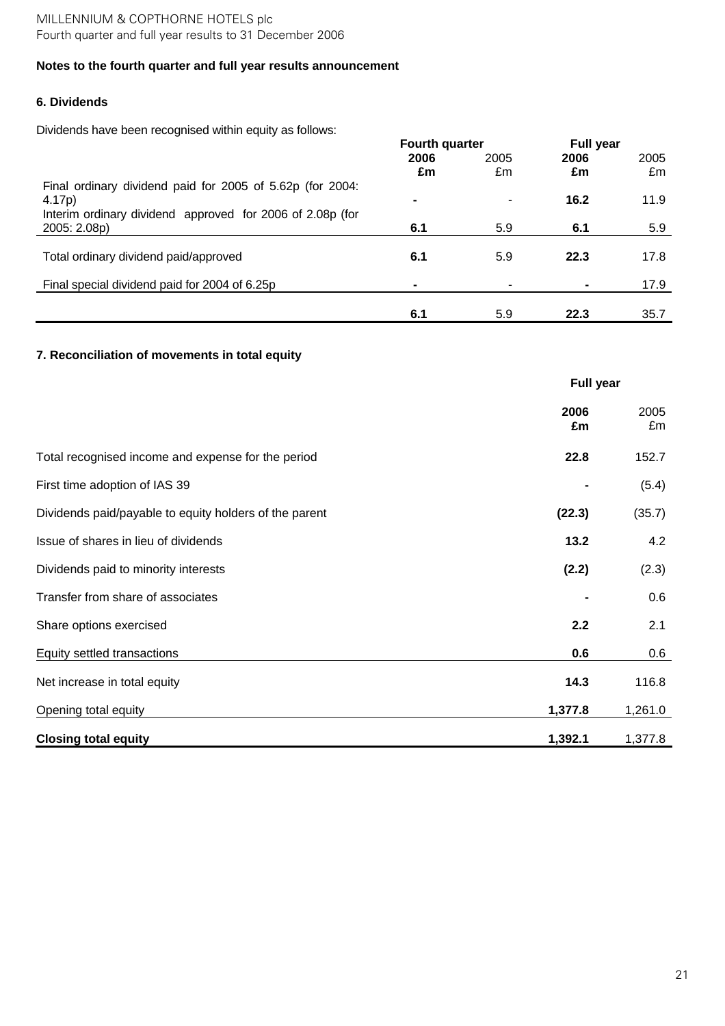# **6. Dividends**

Dividends have been recognised within equity as follows:

|                                                           | <b>Fourth quarter</b> |                | <b>Full year</b> |      |
|-----------------------------------------------------------|-----------------------|----------------|------------------|------|
|                                                           | 2006                  | 2005           | 2006             | 2005 |
|                                                           | £m                    | £m             | £m               | £m   |
| Final ordinary dividend paid for 2005 of 5.62p (for 2004: |                       |                |                  |      |
| 4.17 <sub>p</sub> )                                       | $\blacksquare$        | $\blacksquare$ | 16.2             | 11.9 |
| Interim ordinary dividend approved for 2006 of 2.08p (for |                       |                |                  |      |
| 2005: 2.08p)                                              | 6.1                   | 5.9            | 6.1              | 5.9  |
|                                                           |                       |                |                  |      |
| Total ordinary dividend paid/approved                     | 6.1                   | 5.9            | 22.3             | 17.8 |
|                                                           |                       |                |                  |      |
| Final special dividend paid for 2004 of 6.25p             | $\blacksquare$        |                |                  | 17.9 |
|                                                           |                       |                |                  |      |
|                                                           | 6.1                   | 5.9            | 22.3             | 35.7 |

# **7. Reconciliation of movements in total equity**

|                                                        | <b>Full year</b> |            |
|--------------------------------------------------------|------------------|------------|
|                                                        | 2006<br>£m       | 2005<br>£m |
| Total recognised income and expense for the period     | 22.8             | 152.7      |
| First time adoption of IAS 39                          |                  | (5.4)      |
| Dividends paid/payable to equity holders of the parent | (22.3)           | (35.7)     |
| Issue of shares in lieu of dividends                   | 13.2             | 4.2        |
| Dividends paid to minority interests                   | (2.2)            | (2.3)      |
| Transfer from share of associates                      |                  | 0.6        |
| Share options exercised                                | 2.2              | 2.1        |
| Equity settled transactions                            | 0.6              | 0.6        |
| Net increase in total equity                           | 14.3             | 116.8      |
| Opening total equity                                   | 1,377.8          | 1,261.0    |
| <b>Closing total equity</b>                            | 1,392.1          | 1,377.8    |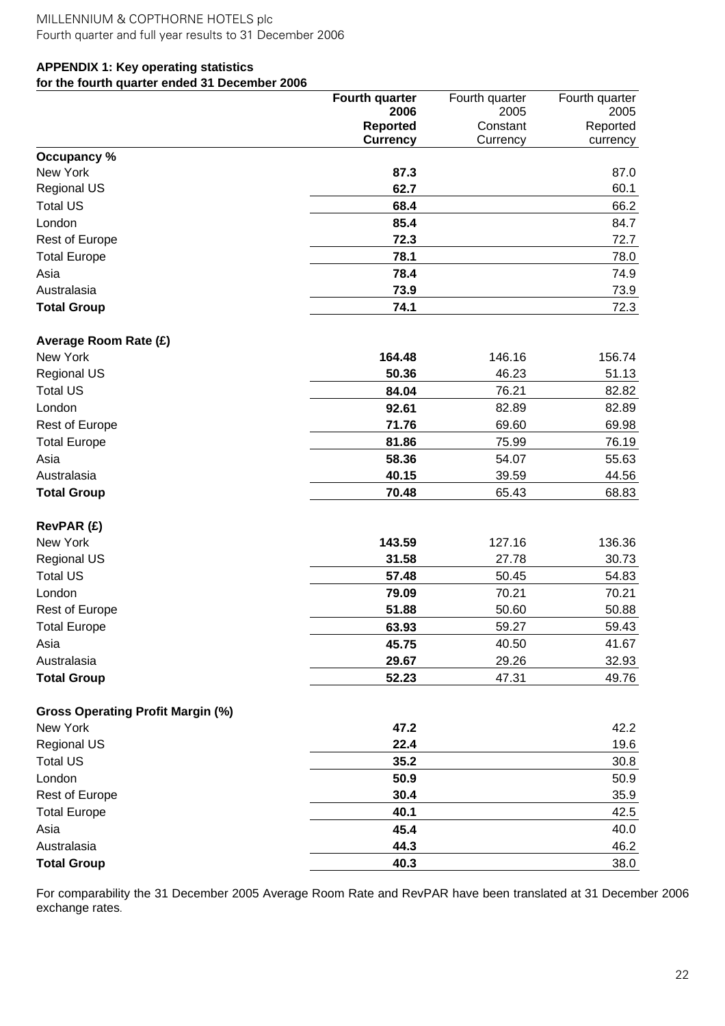# **APPENDIX 1: Key operating statistics for the fourth quarter ended 31 December 2006**

| <b>Reported</b><br>Constant<br>Reported<br><b>Currency</b><br>Currency<br>currency<br>Occupancy %<br>New York<br>87.3<br>87.0<br>62.7<br>60.1<br><b>Regional US</b><br><b>Total US</b><br>68.4<br>66.2<br>London<br>85.4<br>84.7<br>Rest of Europe<br>72.3<br>72.7<br>78.1<br>78.0<br><b>Total Europe</b><br>Asia<br>78.4<br>74.9<br>Australasia<br>73.9<br>73.9<br>74.1<br><b>Total Group</b><br>72.3<br>Average Room Rate (£)<br>New York<br>164.48<br>146.16<br>156.74<br><b>Regional US</b><br>50.36<br>46.23<br>51.13<br><b>Total US</b><br>76.21<br>84.04<br>82.82<br>London<br>92.61<br>82.89<br>82.89<br>71.76<br>69.60<br>69.98<br>Rest of Europe<br>75.99<br><b>Total Europe</b><br>81.86<br>76.19<br>Asia<br>55.63<br>58.36<br>54.07<br>Australasia<br>40.15<br>39.59<br>44.56<br><b>Total Group</b><br>70.48<br>65.43<br>68.83<br>RevPAR (£)<br>143.59<br>New York<br>127.16<br>136.36<br><b>Regional US</b><br>31.58<br>27.78<br>30.73<br><b>Total US</b><br>57.48<br>50.45<br>54.83<br>London<br>70.21<br>70.21<br>79.09<br>50.60<br>Rest of Europe<br>51.88<br>50.88<br><b>Total Europe</b><br>63.93<br>59.27<br>59.43<br>40.50<br>41.67<br>Asia<br>45.75<br>29.67<br>29.26<br>32.93<br>Australasia<br><b>Total Group</b><br>52.23<br>47.31<br>49.76<br><b>Gross Operating Profit Margin (%)</b><br>New York<br>47.2<br>42.2<br><b>Regional US</b><br>22.4<br>19.6<br><b>Total US</b><br>35.2<br>30.8<br>London<br>50.9<br>50.9<br>Rest of Europe<br>30.4<br>35.9<br><b>Total Europe</b><br>40.1<br>42.5 |      | <b>Fourth quarter</b> | Fourth quarter | Fourth quarter |
|-------------------------------------------------------------------------------------------------------------------------------------------------------------------------------------------------------------------------------------------------------------------------------------------------------------------------------------------------------------------------------------------------------------------------------------------------------------------------------------------------------------------------------------------------------------------------------------------------------------------------------------------------------------------------------------------------------------------------------------------------------------------------------------------------------------------------------------------------------------------------------------------------------------------------------------------------------------------------------------------------------------------------------------------------------------------------------------------------------------------------------------------------------------------------------------------------------------------------------------------------------------------------------------------------------------------------------------------------------------------------------------------------------------------------------------------------------------------------------------------------------------------------|------|-----------------------|----------------|----------------|
|                                                                                                                                                                                                                                                                                                                                                                                                                                                                                                                                                                                                                                                                                                                                                                                                                                                                                                                                                                                                                                                                                                                                                                                                                                                                                                                                                                                                                                                                                                                         |      | 2006                  | 2005           | 2005           |
|                                                                                                                                                                                                                                                                                                                                                                                                                                                                                                                                                                                                                                                                                                                                                                                                                                                                                                                                                                                                                                                                                                                                                                                                                                                                                                                                                                                                                                                                                                                         |      |                       |                |                |
|                                                                                                                                                                                                                                                                                                                                                                                                                                                                                                                                                                                                                                                                                                                                                                                                                                                                                                                                                                                                                                                                                                                                                                                                                                                                                                                                                                                                                                                                                                                         |      |                       |                |                |
|                                                                                                                                                                                                                                                                                                                                                                                                                                                                                                                                                                                                                                                                                                                                                                                                                                                                                                                                                                                                                                                                                                                                                                                                                                                                                                                                                                                                                                                                                                                         |      |                       |                |                |
|                                                                                                                                                                                                                                                                                                                                                                                                                                                                                                                                                                                                                                                                                                                                                                                                                                                                                                                                                                                                                                                                                                                                                                                                                                                                                                                                                                                                                                                                                                                         |      |                       |                |                |
|                                                                                                                                                                                                                                                                                                                                                                                                                                                                                                                                                                                                                                                                                                                                                                                                                                                                                                                                                                                                                                                                                                                                                                                                                                                                                                                                                                                                                                                                                                                         |      |                       |                |                |
|                                                                                                                                                                                                                                                                                                                                                                                                                                                                                                                                                                                                                                                                                                                                                                                                                                                                                                                                                                                                                                                                                                                                                                                                                                                                                                                                                                                                                                                                                                                         |      |                       |                |                |
|                                                                                                                                                                                                                                                                                                                                                                                                                                                                                                                                                                                                                                                                                                                                                                                                                                                                                                                                                                                                                                                                                                                                                                                                                                                                                                                                                                                                                                                                                                                         |      |                       |                |                |
|                                                                                                                                                                                                                                                                                                                                                                                                                                                                                                                                                                                                                                                                                                                                                                                                                                                                                                                                                                                                                                                                                                                                                                                                                                                                                                                                                                                                                                                                                                                         |      |                       |                |                |
|                                                                                                                                                                                                                                                                                                                                                                                                                                                                                                                                                                                                                                                                                                                                                                                                                                                                                                                                                                                                                                                                                                                                                                                                                                                                                                                                                                                                                                                                                                                         |      |                       |                |                |
|                                                                                                                                                                                                                                                                                                                                                                                                                                                                                                                                                                                                                                                                                                                                                                                                                                                                                                                                                                                                                                                                                                                                                                                                                                                                                                                                                                                                                                                                                                                         |      |                       |                |                |
|                                                                                                                                                                                                                                                                                                                                                                                                                                                                                                                                                                                                                                                                                                                                                                                                                                                                                                                                                                                                                                                                                                                                                                                                                                                                                                                                                                                                                                                                                                                         |      |                       |                |                |
|                                                                                                                                                                                                                                                                                                                                                                                                                                                                                                                                                                                                                                                                                                                                                                                                                                                                                                                                                                                                                                                                                                                                                                                                                                                                                                                                                                                                                                                                                                                         |      |                       |                |                |
|                                                                                                                                                                                                                                                                                                                                                                                                                                                                                                                                                                                                                                                                                                                                                                                                                                                                                                                                                                                                                                                                                                                                                                                                                                                                                                                                                                                                                                                                                                                         |      |                       |                |                |
|                                                                                                                                                                                                                                                                                                                                                                                                                                                                                                                                                                                                                                                                                                                                                                                                                                                                                                                                                                                                                                                                                                                                                                                                                                                                                                                                                                                                                                                                                                                         |      |                       |                |                |
|                                                                                                                                                                                                                                                                                                                                                                                                                                                                                                                                                                                                                                                                                                                                                                                                                                                                                                                                                                                                                                                                                                                                                                                                                                                                                                                                                                                                                                                                                                                         |      |                       |                |                |
|                                                                                                                                                                                                                                                                                                                                                                                                                                                                                                                                                                                                                                                                                                                                                                                                                                                                                                                                                                                                                                                                                                                                                                                                                                                                                                                                                                                                                                                                                                                         |      |                       |                |                |
|                                                                                                                                                                                                                                                                                                                                                                                                                                                                                                                                                                                                                                                                                                                                                                                                                                                                                                                                                                                                                                                                                                                                                                                                                                                                                                                                                                                                                                                                                                                         |      |                       |                |                |
|                                                                                                                                                                                                                                                                                                                                                                                                                                                                                                                                                                                                                                                                                                                                                                                                                                                                                                                                                                                                                                                                                                                                                                                                                                                                                                                                                                                                                                                                                                                         |      |                       |                |                |
|                                                                                                                                                                                                                                                                                                                                                                                                                                                                                                                                                                                                                                                                                                                                                                                                                                                                                                                                                                                                                                                                                                                                                                                                                                                                                                                                                                                                                                                                                                                         |      |                       |                |                |
|                                                                                                                                                                                                                                                                                                                                                                                                                                                                                                                                                                                                                                                                                                                                                                                                                                                                                                                                                                                                                                                                                                                                                                                                                                                                                                                                                                                                                                                                                                                         |      |                       |                |                |
|                                                                                                                                                                                                                                                                                                                                                                                                                                                                                                                                                                                                                                                                                                                                                                                                                                                                                                                                                                                                                                                                                                                                                                                                                                                                                                                                                                                                                                                                                                                         |      |                       |                |                |
|                                                                                                                                                                                                                                                                                                                                                                                                                                                                                                                                                                                                                                                                                                                                                                                                                                                                                                                                                                                                                                                                                                                                                                                                                                                                                                                                                                                                                                                                                                                         |      |                       |                |                |
|                                                                                                                                                                                                                                                                                                                                                                                                                                                                                                                                                                                                                                                                                                                                                                                                                                                                                                                                                                                                                                                                                                                                                                                                                                                                                                                                                                                                                                                                                                                         |      |                       |                |                |
|                                                                                                                                                                                                                                                                                                                                                                                                                                                                                                                                                                                                                                                                                                                                                                                                                                                                                                                                                                                                                                                                                                                                                                                                                                                                                                                                                                                                                                                                                                                         |      |                       |                |                |
|                                                                                                                                                                                                                                                                                                                                                                                                                                                                                                                                                                                                                                                                                                                                                                                                                                                                                                                                                                                                                                                                                                                                                                                                                                                                                                                                                                                                                                                                                                                         |      |                       |                |                |
|                                                                                                                                                                                                                                                                                                                                                                                                                                                                                                                                                                                                                                                                                                                                                                                                                                                                                                                                                                                                                                                                                                                                                                                                                                                                                                                                                                                                                                                                                                                         |      |                       |                |                |
|                                                                                                                                                                                                                                                                                                                                                                                                                                                                                                                                                                                                                                                                                                                                                                                                                                                                                                                                                                                                                                                                                                                                                                                                                                                                                                                                                                                                                                                                                                                         |      |                       |                |                |
|                                                                                                                                                                                                                                                                                                                                                                                                                                                                                                                                                                                                                                                                                                                                                                                                                                                                                                                                                                                                                                                                                                                                                                                                                                                                                                                                                                                                                                                                                                                         |      |                       |                |                |
|                                                                                                                                                                                                                                                                                                                                                                                                                                                                                                                                                                                                                                                                                                                                                                                                                                                                                                                                                                                                                                                                                                                                                                                                                                                                                                                                                                                                                                                                                                                         |      |                       |                |                |
|                                                                                                                                                                                                                                                                                                                                                                                                                                                                                                                                                                                                                                                                                                                                                                                                                                                                                                                                                                                                                                                                                                                                                                                                                                                                                                                                                                                                                                                                                                                         |      |                       |                |                |
|                                                                                                                                                                                                                                                                                                                                                                                                                                                                                                                                                                                                                                                                                                                                                                                                                                                                                                                                                                                                                                                                                                                                                                                                                                                                                                                                                                                                                                                                                                                         |      |                       |                |                |
|                                                                                                                                                                                                                                                                                                                                                                                                                                                                                                                                                                                                                                                                                                                                                                                                                                                                                                                                                                                                                                                                                                                                                                                                                                                                                                                                                                                                                                                                                                                         |      |                       |                |                |
|                                                                                                                                                                                                                                                                                                                                                                                                                                                                                                                                                                                                                                                                                                                                                                                                                                                                                                                                                                                                                                                                                                                                                                                                                                                                                                                                                                                                                                                                                                                         |      |                       |                |                |
|                                                                                                                                                                                                                                                                                                                                                                                                                                                                                                                                                                                                                                                                                                                                                                                                                                                                                                                                                                                                                                                                                                                                                                                                                                                                                                                                                                                                                                                                                                                         |      |                       |                |                |
|                                                                                                                                                                                                                                                                                                                                                                                                                                                                                                                                                                                                                                                                                                                                                                                                                                                                                                                                                                                                                                                                                                                                                                                                                                                                                                                                                                                                                                                                                                                         |      |                       |                |                |
|                                                                                                                                                                                                                                                                                                                                                                                                                                                                                                                                                                                                                                                                                                                                                                                                                                                                                                                                                                                                                                                                                                                                                                                                                                                                                                                                                                                                                                                                                                                         |      |                       |                |                |
|                                                                                                                                                                                                                                                                                                                                                                                                                                                                                                                                                                                                                                                                                                                                                                                                                                                                                                                                                                                                                                                                                                                                                                                                                                                                                                                                                                                                                                                                                                                         |      |                       |                |                |
|                                                                                                                                                                                                                                                                                                                                                                                                                                                                                                                                                                                                                                                                                                                                                                                                                                                                                                                                                                                                                                                                                                                                                                                                                                                                                                                                                                                                                                                                                                                         |      |                       |                |                |
|                                                                                                                                                                                                                                                                                                                                                                                                                                                                                                                                                                                                                                                                                                                                                                                                                                                                                                                                                                                                                                                                                                                                                                                                                                                                                                                                                                                                                                                                                                                         |      |                       |                |                |
|                                                                                                                                                                                                                                                                                                                                                                                                                                                                                                                                                                                                                                                                                                                                                                                                                                                                                                                                                                                                                                                                                                                                                                                                                                                                                                                                                                                                                                                                                                                         | Asia | 45.4                  |                | 40.0           |
| Australasia<br>44.3<br>46.2                                                                                                                                                                                                                                                                                                                                                                                                                                                                                                                                                                                                                                                                                                                                                                                                                                                                                                                                                                                                                                                                                                                                                                                                                                                                                                                                                                                                                                                                                             |      |                       |                |                |
| 40.3<br>38.0<br><b>Total Group</b>                                                                                                                                                                                                                                                                                                                                                                                                                                                                                                                                                                                                                                                                                                                                                                                                                                                                                                                                                                                                                                                                                                                                                                                                                                                                                                                                                                                                                                                                                      |      |                       |                |                |

For comparability the 31 December 2005 Average Room Rate and RevPAR have been translated at 31 December 2006 exchange rates.